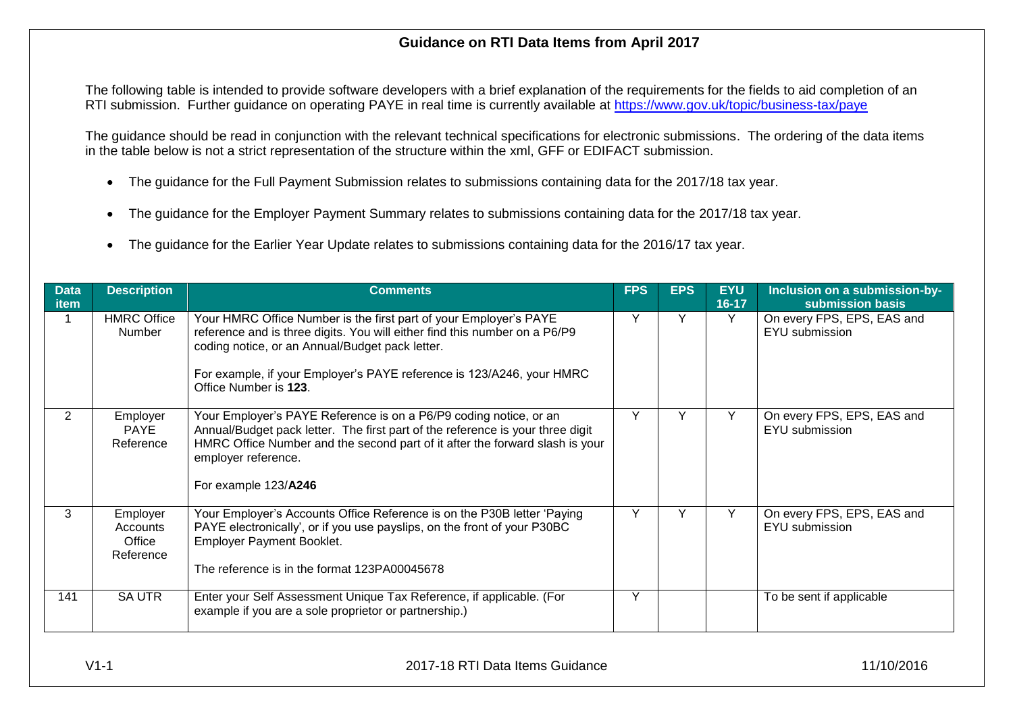## **Guidance on RTI Data Items from April 2017**

The following table is intended to provide software developers with a brief explanation of the requirements for the fields to aid completion of an RTI submission. Further guidance on operating PAYE in real time is currently available at<https://www.gov.uk/topic/business-tax/paye>

The guidance should be read in conjunction with the relevant technical specifications for electronic submissions. The ordering of the data items in the table below is not a strict representation of the structure within the xml, GFF or EDIFACT submission.

- The guidance for the Full Payment Submission relates to submissions containing data for the 2017/18 tax year.
- The guidance for the Employer Payment Summary relates to submissions containing data for the 2017/18 tax year.
- The guidance for the Earlier Year Update relates to submissions containing data for the 2016/17 tax year.

| <b>Data</b><br>item | <b>Description</b>                          | <b>Comments</b>                                                                                                                                                                                                                                                                                      | <b>FPS</b> | <b>EPS</b> | <b>EYU</b><br>$16 - 17$ | Inclusion on a submission-by-<br>submission basis |
|---------------------|---------------------------------------------|------------------------------------------------------------------------------------------------------------------------------------------------------------------------------------------------------------------------------------------------------------------------------------------------------|------------|------------|-------------------------|---------------------------------------------------|
|                     | <b>HMRC Office</b><br>Number                | Your HMRC Office Number is the first part of your Employer's PAYE<br>reference and is three digits. You will either find this number on a P6/P9<br>coding notice, or an Annual/Budget pack letter.<br>For example, if your Employer's PAYE reference is 123/A246, your HMRC<br>Office Number is 123. | Y          | Y          | Y                       | On every FPS, EPS, EAS and<br>EYU submission      |
| $\overline{2}$      | Employer<br>PAYE<br>Reference               | Your Employer's PAYE Reference is on a P6/P9 coding notice, or an<br>Annual/Budget pack letter. The first part of the reference is your three digit<br>HMRC Office Number and the second part of it after the forward slash is your<br>employer reference.<br>For example 123/A246                   | Y          | v          | Y                       | On every FPS, EPS, EAS and<br>EYU submission      |
| 3                   | Employer<br>Accounts<br>Office<br>Reference | Your Employer's Accounts Office Reference is on the P30B letter 'Paying<br>PAYE electronically', or if you use payslips, on the front of your P30BC<br><b>Employer Payment Booklet.</b><br>The reference is in the format 123PA00045678                                                              | Y          |            | Y                       | On every FPS, EPS, EAS and<br>EYU submission      |
| 141                 | <b>SA UTR</b>                               | Enter your Self Assessment Unique Tax Reference, if applicable. (For<br>example if you are a sole proprietor or partnership.)                                                                                                                                                                        | Y          |            |                         | To be sent if applicable                          |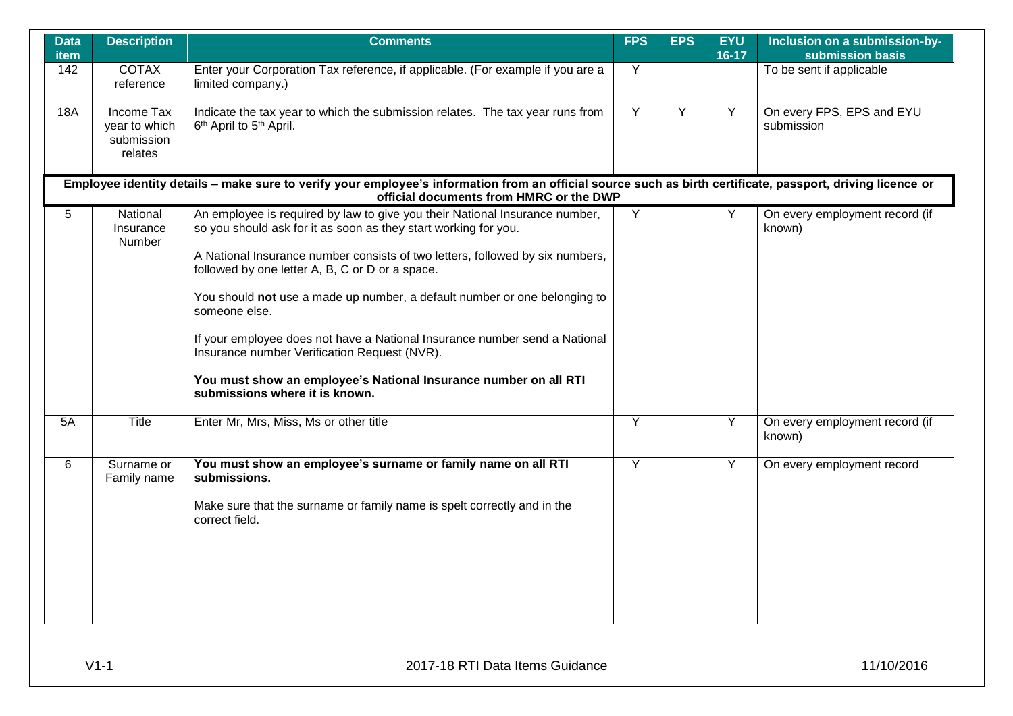| <b>Data</b><br><b>item</b> | <b>Description</b>                                   | <b>Comments</b>                                                                                                                                                                                                                                                                                                                                                                                                                                                                                                                                                                                                      | <b>FPS</b>     | <b>EPS</b> | <b>EYU</b><br>$16-17$ | Inclusion on a submission-by-<br>submission basis |
|----------------------------|------------------------------------------------------|----------------------------------------------------------------------------------------------------------------------------------------------------------------------------------------------------------------------------------------------------------------------------------------------------------------------------------------------------------------------------------------------------------------------------------------------------------------------------------------------------------------------------------------------------------------------------------------------------------------------|----------------|------------|-----------------------|---------------------------------------------------|
| 142                        | <b>COTAX</b><br>reference                            | Enter your Corporation Tax reference, if applicable. (For example if you are a<br>limited company.)                                                                                                                                                                                                                                                                                                                                                                                                                                                                                                                  | Y              |            |                       | To be sent if applicable                          |
| <b>18A</b>                 | Income Tax<br>year to which<br>submission<br>relates | Indicate the tax year to which the submission relates. The tax year runs from<br>6 <sup>th</sup> April to 5 <sup>th</sup> April.                                                                                                                                                                                                                                                                                                                                                                                                                                                                                     | Y              | Y          | Y                     | On every FPS, EPS and EYU<br>submission           |
|                            |                                                      | Employee identity details - make sure to verify your employee's information from an official source such as birth certificate, passport, driving licence or<br>official documents from HMRC or the DWP                                                                                                                                                                                                                                                                                                                                                                                                               |                |            |                       |                                                   |
| 5                          | National<br>Insurance<br>Number                      | An employee is required by law to give you their National Insurance number,<br>so you should ask for it as soon as they start working for you.<br>A National Insurance number consists of two letters, followed by six numbers,<br>followed by one letter A, B, C or D or a space.<br>You should not use a made up number, a default number or one belonging to<br>someone else.<br>If your employee does not have a National Insurance number send a National<br>Insurance number Verification Request (NVR).<br>You must show an employee's National Insurance number on all RTI<br>submissions where it is known. | Y              |            | Υ                     | On every employment record (if<br>known)          |
| 5A                         | Title                                                | Enter Mr, Mrs, Miss, Ms or other title                                                                                                                                                                                                                                                                                                                                                                                                                                                                                                                                                                               | Y              |            | Y                     | On every employment record (if<br>known)          |
| 6                          | Surname or<br>Family name                            | You must show an employee's surname or family name on all RTI<br>submissions.<br>Make sure that the surname or family name is spelt correctly and in the<br>correct field.                                                                                                                                                                                                                                                                                                                                                                                                                                           | $\overline{Y}$ |            | $\overline{Y}$        | On every employment record                        |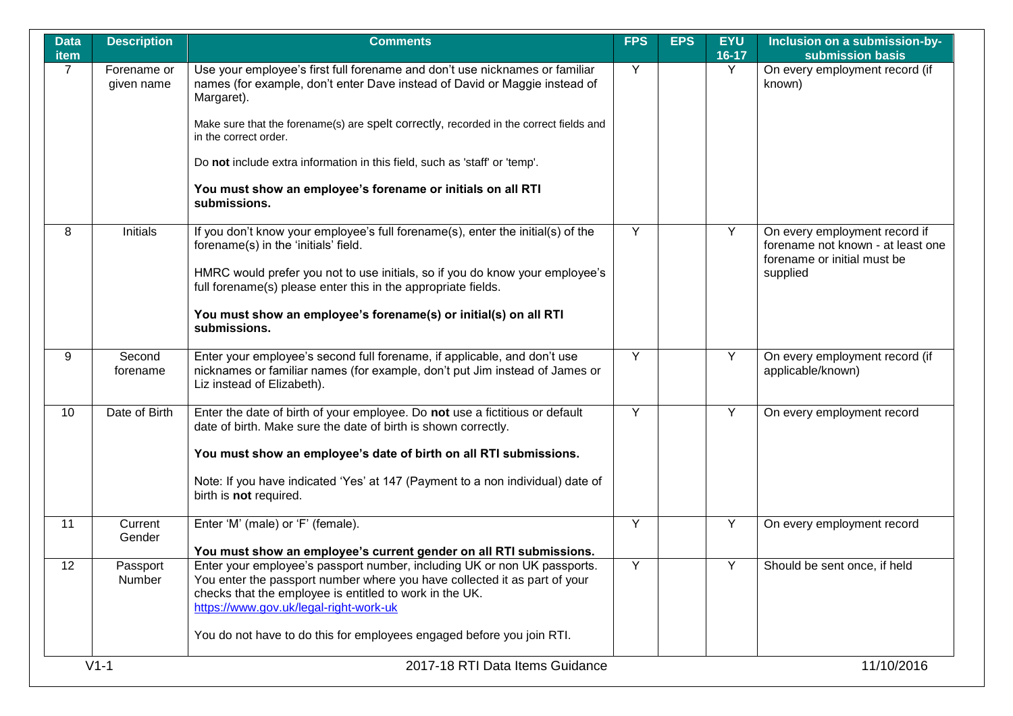| <b>Data</b><br>item | <b>Description</b>        | <b>Comments</b>                                                                                                                                                                                                                                            | <b>FPS</b> | <b>EPS</b> | <b>EYU</b><br>$16-17$ | Inclusion on a submission-by-<br>submission basis                                                             |
|---------------------|---------------------------|------------------------------------------------------------------------------------------------------------------------------------------------------------------------------------------------------------------------------------------------------------|------------|------------|-----------------------|---------------------------------------------------------------------------------------------------------------|
| $\overline{7}$      | Forename or<br>given name | Use your employee's first full forename and don't use nicknames or familiar<br>names (for example, don't enter Dave instead of David or Maggie instead of<br>Margaret).                                                                                    | Y          |            | Y                     | On every employment record (if<br>known)                                                                      |
|                     |                           | Make sure that the forename(s) are spelt correctly, recorded in the correct fields and<br>in the correct order.                                                                                                                                            |            |            |                       |                                                                                                               |
|                     |                           | Do not include extra information in this field, such as 'staff' or 'temp'.                                                                                                                                                                                 |            |            |                       |                                                                                                               |
|                     |                           | You must show an employee's forename or initials on all RTI<br>submissions.                                                                                                                                                                                |            |            |                       |                                                                                                               |
| 8                   | Initials                  | If you don't know your employee's full forename(s), enter the initial(s) of the<br>forename(s) in the 'initials' field.                                                                                                                                    | Y          |            | Y                     | On every employment record if<br>forename not known - at least one<br>forename or initial must be<br>supplied |
|                     |                           | HMRC would prefer you not to use initials, so if you do know your employee's<br>full forename(s) please enter this in the appropriate fields.                                                                                                              |            |            |                       |                                                                                                               |
|                     |                           | You must show an employee's forename(s) or initial(s) on all RTI<br>submissions.                                                                                                                                                                           |            |            |                       |                                                                                                               |
| 9                   | Second<br>forename        | Enter your employee's second full forename, if applicable, and don't use<br>nicknames or familiar names (for example, don't put Jim instead of James or<br>Liz instead of Elizabeth).                                                                      | Y          |            | Y                     | On every employment record (if<br>applicable/known)                                                           |
| 10                  | Date of Birth             | Enter the date of birth of your employee. Do not use a fictitious or default<br>date of birth. Make sure the date of birth is shown correctly.                                                                                                             | Y          |            | Y                     | On every employment record                                                                                    |
|                     |                           | You must show an employee's date of birth on all RTI submissions.                                                                                                                                                                                          |            |            |                       |                                                                                                               |
|                     |                           | Note: If you have indicated 'Yes' at 147 (Payment to a non individual) date of<br>birth is not required.                                                                                                                                                   |            |            |                       |                                                                                                               |
| 11                  | Current<br>Gender         | Enter 'M' (male) or 'F' (female).                                                                                                                                                                                                                          | Y          |            | Y                     | On every employment record                                                                                    |
|                     |                           | You must show an employee's current gender on all RTI submissions.                                                                                                                                                                                         |            |            |                       |                                                                                                               |
| 12 <sup>2</sup>     | Passport<br>Number        | Enter your employee's passport number, including UK or non UK passports.<br>You enter the passport number where you have collected it as part of your<br>checks that the employee is entitled to work in the UK.<br>https://www.gov.uk/legal-right-work-uk | Y          |            | Y                     | Should be sent once, if held                                                                                  |
|                     |                           | You do not have to do this for employees engaged before you join RTI.                                                                                                                                                                                      |            |            |                       |                                                                                                               |
|                     | $V1-1$                    | 2017-18 RTI Data Items Guidance                                                                                                                                                                                                                            |            |            |                       | 11/10/2016                                                                                                    |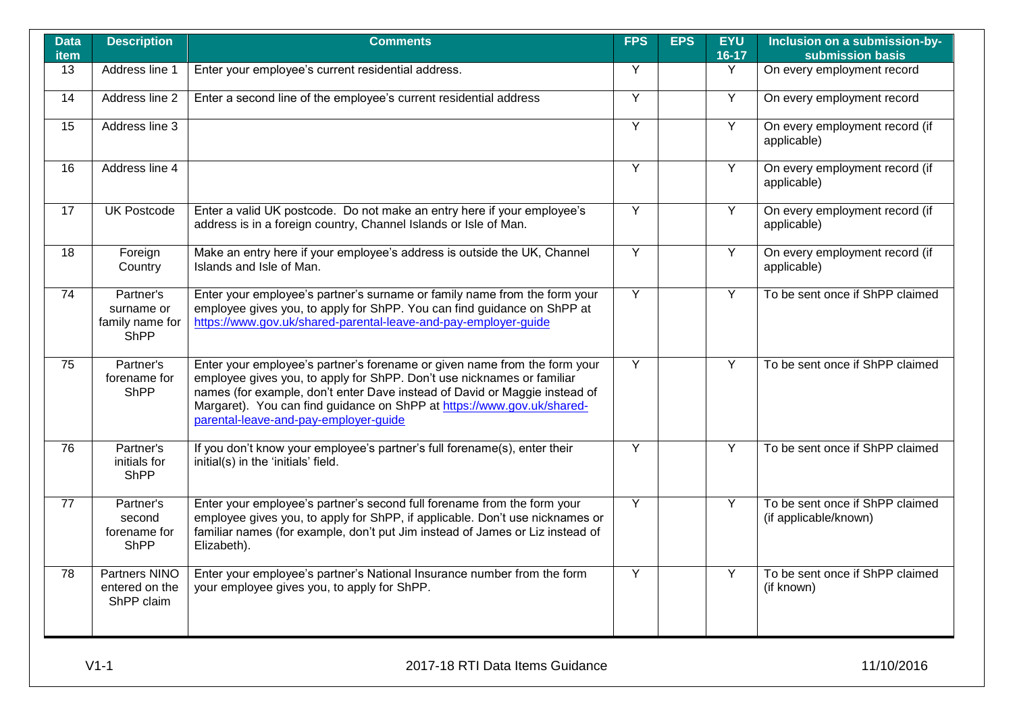| <b>Data</b><br><b>item</b> | <b>Description</b>                                        | <b>Comments</b>                                                                                                                                                                                                                                                                                                                                      | <b>FPS</b>     | <b>EPS</b> | <b>EYU</b><br>$16-17$ | Inclusion on a submission-by-<br>submission basis        |
|----------------------------|-----------------------------------------------------------|------------------------------------------------------------------------------------------------------------------------------------------------------------------------------------------------------------------------------------------------------------------------------------------------------------------------------------------------------|----------------|------------|-----------------------|----------------------------------------------------------|
| 13                         | Address line 1                                            | Enter your employee's current residential address.                                                                                                                                                                                                                                                                                                   | $\overline{Y}$ |            | Y                     | On every employment record                               |
| 14                         | Address line 2                                            | Enter a second line of the employee's current residential address                                                                                                                                                                                                                                                                                    | Y              |            | $\overline{Y}$        | On every employment record                               |
| 15                         | Address line 3                                            |                                                                                                                                                                                                                                                                                                                                                      | $\overline{Y}$ |            | Y                     | On every employment record (if<br>applicable)            |
| $\overline{16}$            | Address line 4                                            |                                                                                                                                                                                                                                                                                                                                                      | $\overline{Y}$ |            | $\overline{Y}$        | On every employment record (if<br>applicable)            |
| 17                         | <b>UK Postcode</b>                                        | Enter a valid UK postcode. Do not make an entry here if your employee's<br>address is in a foreign country, Channel Islands or Isle of Man.                                                                                                                                                                                                          | Y              |            | Y                     | On every employment record (if<br>applicable)            |
| 18                         | Foreign<br>Country                                        | Make an entry here if your employee's address is outside the UK, Channel<br>Islands and Isle of Man.                                                                                                                                                                                                                                                 | $\overline{Y}$ |            | Y                     | On every employment record (if<br>applicable)            |
| 74                         | Partner's<br>surname or<br>family name for<br><b>ShPP</b> | Enter your employee's partner's surname or family name from the form your<br>employee gives you, to apply for ShPP. You can find guidance on ShPP at<br>https://www.gov.uk/shared-parental-leave-and-pay-employer-guide                                                                                                                              | Y              |            | Y                     | To be sent once if ShPP claimed                          |
| $\overline{75}$            | Partner's<br>forename for<br><b>ShPP</b>                  | Enter your employee's partner's forename or given name from the form your<br>employee gives you, to apply for ShPP. Don't use nicknames or familiar<br>names (for example, don't enter Dave instead of David or Maggie instead of<br>Margaret). You can find guidance on ShPP at https://www.gov.uk/shared-<br>parental-leave-and-pay-employer-quide | $\overline{Y}$ |            | Y                     | To be sent once if ShPP claimed                          |
| 76                         | Partner's<br>initials for<br><b>ShPP</b>                  | If you don't know your employee's partner's full forename(s), enter their<br>initial(s) in the 'initials' field.                                                                                                                                                                                                                                     | $\overline{Y}$ |            | Y                     | To be sent once if ShPP claimed                          |
| 77                         | Partner's<br>second<br>forename for<br><b>ShPP</b>        | Enter your employee's partner's second full forename from the form your<br>employee gives you, to apply for ShPP, if applicable. Don't use nicknames or<br>familiar names (for example, don't put Jim instead of James or Liz instead of<br>Elizabeth).                                                                                              | Y              |            | Y                     | To be sent once if ShPP claimed<br>(if applicable/known) |
| $\overline{78}$            | <b>Partners NINO</b><br>entered on the<br>ShPP claim      | Enter your employee's partner's National Insurance number from the form<br>your employee gives you, to apply for ShPP.                                                                                                                                                                                                                               | $\overline{Y}$ |            | Y                     | To be sent once if ShPP claimed<br>(if known)            |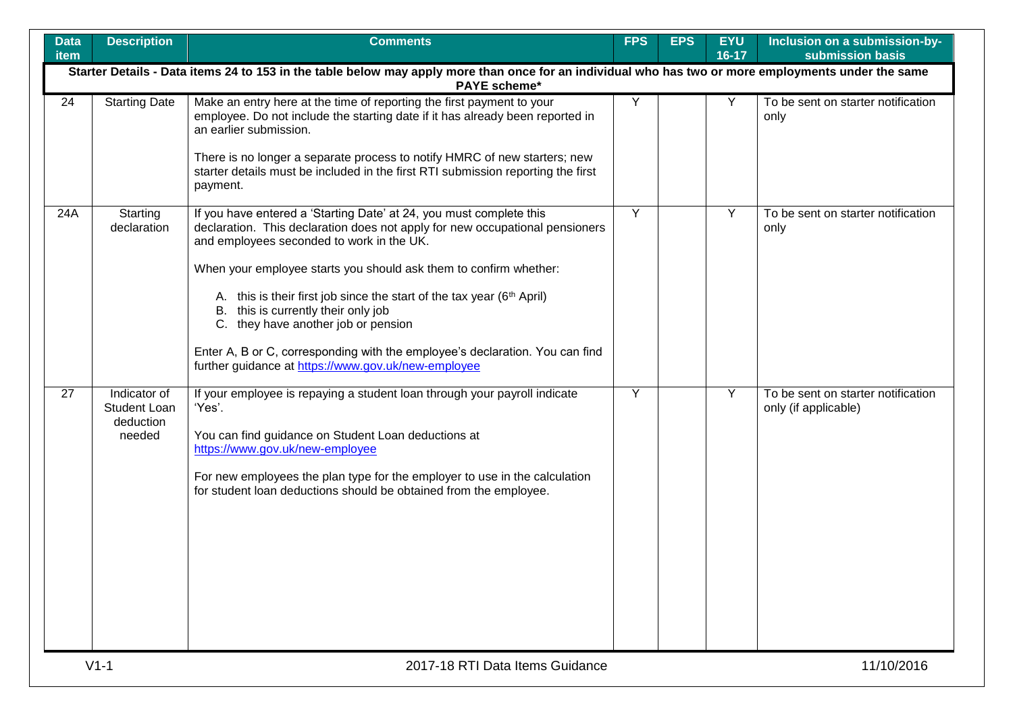| <b>Data</b><br>item | <b>Description</b>                                                                                                                                                         | <b>Comments</b>                                                                                                                                                                                                                                                                                                                                                                                                                                                                                                                                                                  | <b>FPS</b> | <b>EPS</b> | <b>EYU</b><br>$16 - 17$ | Inclusion on a submission-by-<br>submission basis          |  |  |  |  |
|---------------------|----------------------------------------------------------------------------------------------------------------------------------------------------------------------------|----------------------------------------------------------------------------------------------------------------------------------------------------------------------------------------------------------------------------------------------------------------------------------------------------------------------------------------------------------------------------------------------------------------------------------------------------------------------------------------------------------------------------------------------------------------------------------|------------|------------|-------------------------|------------------------------------------------------------|--|--|--|--|
|                     | Starter Details - Data items 24 to 153 in the table below may apply more than once for an individual who has two or more employments under the same<br><b>PAYE</b> scheme* |                                                                                                                                                                                                                                                                                                                                                                                                                                                                                                                                                                                  |            |            |                         |                                                            |  |  |  |  |
| 24                  | <b>Starting Date</b>                                                                                                                                                       | Make an entry here at the time of reporting the first payment to your<br>employee. Do not include the starting date if it has already been reported in<br>an earlier submission.<br>There is no longer a separate process to notify HMRC of new starters; new<br>starter details must be included in the first RTI submission reporting the first<br>payment.                                                                                                                                                                                                                    | Y          |            | Y                       | To be sent on starter notification<br>only                 |  |  |  |  |
| 24A                 | Starting<br>declaration                                                                                                                                                    | If you have entered a 'Starting Date' at 24, you must complete this<br>declaration. This declaration does not apply for new occupational pensioners<br>and employees seconded to work in the UK.<br>When your employee starts you should ask them to confirm whether:<br>A. this is their first job since the start of the tax year (6 <sup>th</sup> April)<br>B. this is currently their only job<br>C. they have another job or pension<br>Enter A, B or C, corresponding with the employee's declaration. You can find<br>further guidance at https://www.gov.uk/new-employee | Y          |            | Y                       | To be sent on starter notification<br>only                 |  |  |  |  |
| 27                  | Indicator of<br><b>Student Loan</b><br>deduction<br>needed                                                                                                                 | If your employee is repaying a student loan through your payroll indicate<br>'Yes'.<br>You can find guidance on Student Loan deductions at<br>https://www.gov.uk/new-employee<br>For new employees the plan type for the employer to use in the calculation<br>for student loan deductions should be obtained from the employee.                                                                                                                                                                                                                                                 | Y          |            | Y                       | To be sent on starter notification<br>only (if applicable) |  |  |  |  |
|                     | $V1-1$                                                                                                                                                                     | 2017-18 RTI Data Items Guidance                                                                                                                                                                                                                                                                                                                                                                                                                                                                                                                                                  |            |            |                         | 11/10/2016                                                 |  |  |  |  |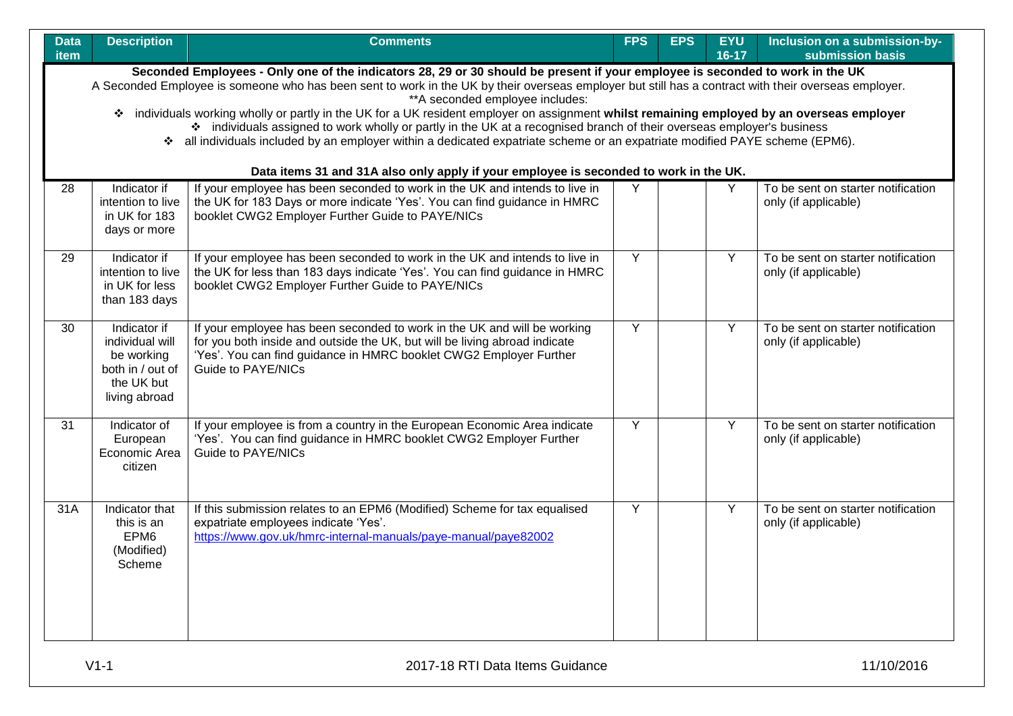| <b>Data</b><br>item | <b>Description</b>                                                                                                                                                                                                                                                                                                                                                                                                                                                                                                                                                                                                                                                                                                                 | <b>Comments</b>                                                                                                                                                                                                                                           | <b>FPS</b>     | <b>EPS</b> | <b>EYU</b><br>16-17 | Inclusion on a submission-by-<br>submission basis          |  |  |  |
|---------------------|------------------------------------------------------------------------------------------------------------------------------------------------------------------------------------------------------------------------------------------------------------------------------------------------------------------------------------------------------------------------------------------------------------------------------------------------------------------------------------------------------------------------------------------------------------------------------------------------------------------------------------------------------------------------------------------------------------------------------------|-----------------------------------------------------------------------------------------------------------------------------------------------------------------------------------------------------------------------------------------------------------|----------------|------------|---------------------|------------------------------------------------------------|--|--|--|
|                     | Seconded Employees - Only one of the indicators 28, 29 or 30 should be present if your employee is seconded to work in the UK<br>A Seconded Employee is someone who has been sent to work in the UK by their overseas employer but still has a contract with their overseas employer.<br>** A seconded employee includes:<br>* individuals working wholly or partly in the UK for a UK resident employer on assignment whilst remaining employed by an overseas employer<br>* individuals assigned to work wholly or partly in the UK at a recognised branch of their overseas employer's business<br>❖ all individuals included by an employer within a dedicated expatriate scheme or an expatriate modified PAYE scheme (EPM6). |                                                                                                                                                                                                                                                           |                |            |                     |                                                            |  |  |  |
|                     |                                                                                                                                                                                                                                                                                                                                                                                                                                                                                                                                                                                                                                                                                                                                    | Data items 31 and 31A also only apply if your employee is seconded to work in the UK.                                                                                                                                                                     |                |            |                     |                                                            |  |  |  |
| 28                  | Indicator if<br>intention to live<br>in UK for 183<br>days or more                                                                                                                                                                                                                                                                                                                                                                                                                                                                                                                                                                                                                                                                 | If your employee has been seconded to work in the UK and intends to live in<br>the UK for 183 Days or more indicate 'Yes'. You can find guidance in HMRC<br>booklet CWG2 Employer Further Guide to PAYE/NICs                                              | Y              |            | $\overline{Y}$      | To be sent on starter notification<br>only (if applicable) |  |  |  |
| 29                  | Indicator if<br>intention to live<br>in UK for less<br>than 183 days                                                                                                                                                                                                                                                                                                                                                                                                                                                                                                                                                                                                                                                               | If your employee has been seconded to work in the UK and intends to live in<br>the UK for less than 183 days indicate 'Yes'. You can find guidance in HMRC<br>booklet CWG2 Employer Further Guide to PAYE/NICs                                            | Y              |            | Y                   | To be sent on starter notification<br>only (if applicable) |  |  |  |
| 30                  | Indicator if<br>individual will<br>be working<br>both in / out of<br>the UK but<br>living abroad                                                                                                                                                                                                                                                                                                                                                                                                                                                                                                                                                                                                                                   | If your employee has been seconded to work in the UK and will be working<br>for you both inside and outside the UK, but will be living abroad indicate<br>'Yes'. You can find guidance in HMRC booklet CWG2 Employer Further<br><b>Guide to PAYE/NICs</b> | $\overline{Y}$ |            | Y                   | To be sent on starter notification<br>only (if applicable) |  |  |  |
| 31                  | Indicator of<br>European<br>Economic Area<br>citizen                                                                                                                                                                                                                                                                                                                                                                                                                                                                                                                                                                                                                                                                               | If your employee is from a country in the European Economic Area indicate<br>'Yes'. You can find guidance in HMRC booklet CWG2 Employer Further<br>Guide to PAYE/NICs                                                                                     | Y              |            | Y                   | To be sent on starter notification<br>only (if applicable) |  |  |  |
| $\overline{31A}$    | Indicator that<br>this is an<br>EPM <sub>6</sub><br>(Modified)<br>Scheme                                                                                                                                                                                                                                                                                                                                                                                                                                                                                                                                                                                                                                                           | If this submission relates to an EPM6 (Modified) Scheme for tax equalised<br>expatriate employees indicate 'Yes'.<br>https://www.gov.uk/hmrc-internal-manuals/paye-manual/paye82002                                                                       | $\overline{Y}$ |            | Y                   | To be sent on starter notification<br>only (if applicable) |  |  |  |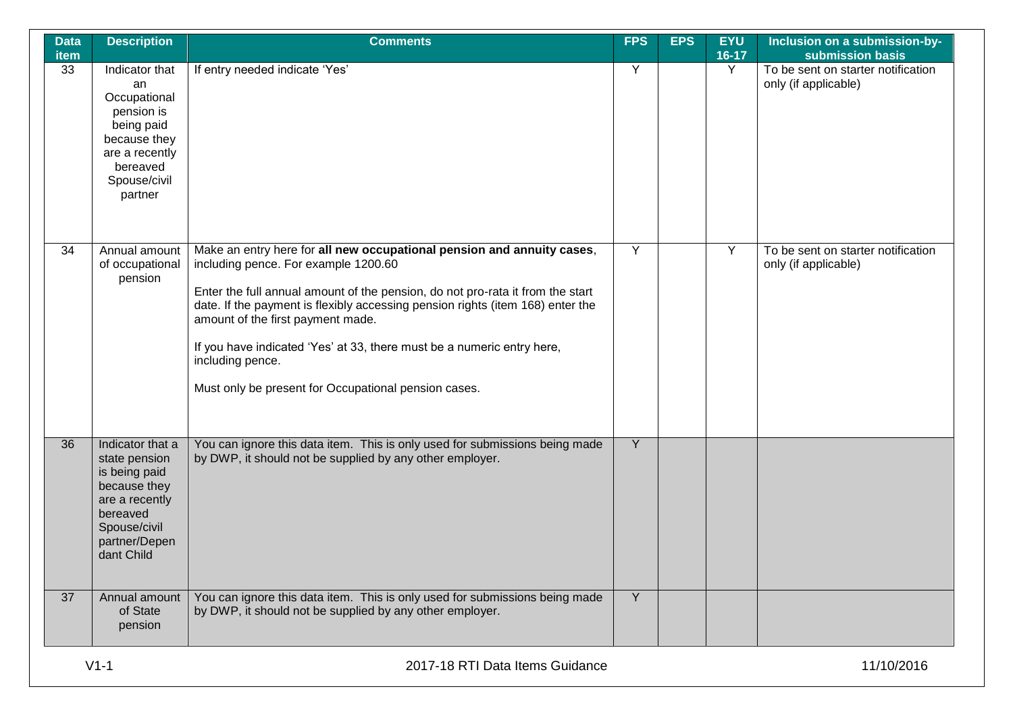| <b>Data</b><br><b>item</b> | <b>Description</b>                                                                                                                              | <b>Comments</b>                                                                                                                                                                                                                                                                                                                                                                                                                                                               | <b>FPS</b> | <b>EPS</b> | <b>EYU</b><br>$16-17$ | Inclusion on a submission-by-<br>submission basis          |
|----------------------------|-------------------------------------------------------------------------------------------------------------------------------------------------|-------------------------------------------------------------------------------------------------------------------------------------------------------------------------------------------------------------------------------------------------------------------------------------------------------------------------------------------------------------------------------------------------------------------------------------------------------------------------------|------------|------------|-----------------------|------------------------------------------------------------|
| 33                         | Indicator that<br>an<br>Occupational<br>pension is<br>being paid<br>because they<br>are a recently<br>bereaved<br>Spouse/civil<br>partner       | If entry needed indicate 'Yes'                                                                                                                                                                                                                                                                                                                                                                                                                                                | Y          |            | Y                     | To be sent on starter notification<br>only (if applicable) |
| 34                         | Annual amount<br>of occupational<br>pension                                                                                                     | Make an entry here for all new occupational pension and annuity cases,<br>including pence. For example 1200.60<br>Enter the full annual amount of the pension, do not pro-rata it from the start<br>date. If the payment is flexibly accessing pension rights (item 168) enter the<br>amount of the first payment made.<br>If you have indicated 'Yes' at 33, there must be a numeric entry here,<br>including pence.<br>Must only be present for Occupational pension cases. | Y          |            | Υ                     | To be sent on starter notification<br>only (if applicable) |
| 36                         | Indicator that a<br>state pension<br>is being paid<br>because they<br>are a recently<br>bereaved<br>Spouse/civil<br>partner/Depen<br>dant Child | You can ignore this data item. This is only used for submissions being made<br>by DWP, it should not be supplied by any other employer.                                                                                                                                                                                                                                                                                                                                       | Y          |            |                       |                                                            |
| 37                         | Annual amount<br>of State<br>pension                                                                                                            | You can ignore this data item. This is only used for submissions being made<br>by DWP, it should not be supplied by any other employer.                                                                                                                                                                                                                                                                                                                                       | Y          |            |                       |                                                            |
|                            | $V1-1$                                                                                                                                          | 2017-18 RTI Data Items Guidance                                                                                                                                                                                                                                                                                                                                                                                                                                               |            |            |                       | 11/10/2016                                                 |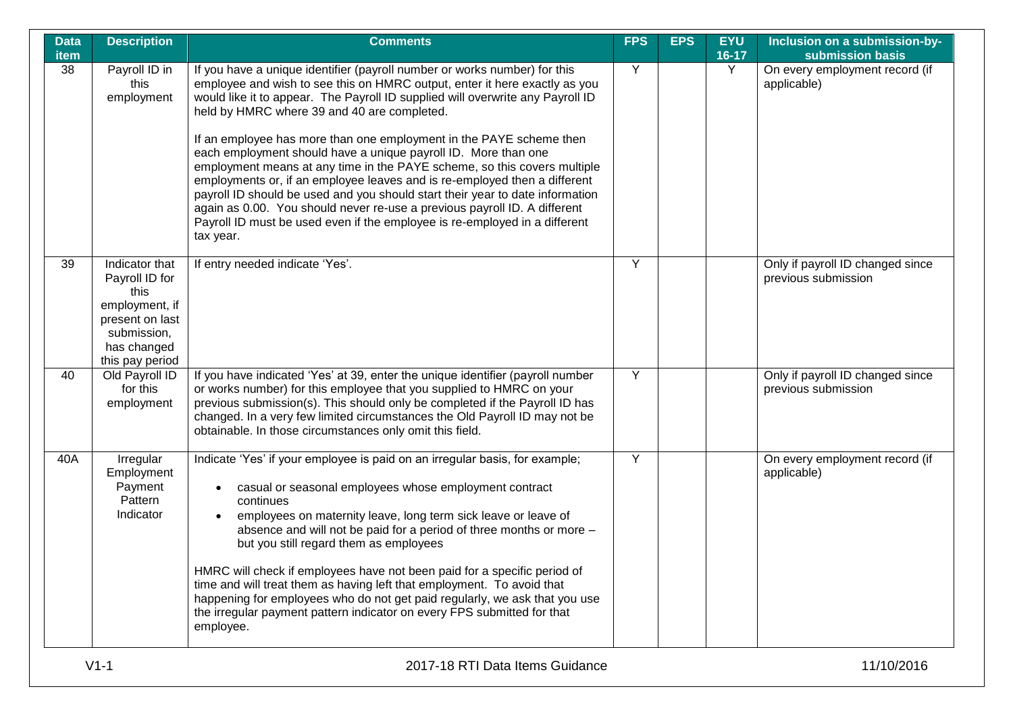| <b>Data</b> | <b>Description</b>                                                                                                             | <b>Comments</b>                                                                                                                                                                                                                                                                                                                                                                                                                                                                                                                                                                                                                                                                                                                                                                                                                                     | <b>FPS</b> | <b>EPS</b> | <b>EYU</b>   | Inclusion on a submission-by-                                     |
|-------------|--------------------------------------------------------------------------------------------------------------------------------|-----------------------------------------------------------------------------------------------------------------------------------------------------------------------------------------------------------------------------------------------------------------------------------------------------------------------------------------------------------------------------------------------------------------------------------------------------------------------------------------------------------------------------------------------------------------------------------------------------------------------------------------------------------------------------------------------------------------------------------------------------------------------------------------------------------------------------------------------------|------------|------------|--------------|-------------------------------------------------------------------|
| item<br>38  | Payroll ID in<br>this<br>employment                                                                                            | If you have a unique identifier (payroll number or works number) for this<br>employee and wish to see this on HMRC output, enter it here exactly as you<br>would like it to appear. The Payroll ID supplied will overwrite any Payroll ID<br>held by HMRC where 39 and 40 are completed.<br>If an employee has more than one employment in the PAYE scheme then<br>each employment should have a unique payroll ID. More than one<br>employment means at any time in the PAYE scheme, so this covers multiple<br>employments or, if an employee leaves and is re-employed then a different<br>payroll ID should be used and you should start their year to date information<br>again as 0.00. You should never re-use a previous payroll ID. A different<br>Payroll ID must be used even if the employee is re-employed in a different<br>tax year. | Y          |            | $16-17$<br>Y | submission basis<br>On every employment record (if<br>applicable) |
| 39          | Indicator that<br>Payroll ID for<br>this<br>employment, if<br>present on last<br>submission,<br>has changed<br>this pay period | If entry needed indicate 'Yes'.                                                                                                                                                                                                                                                                                                                                                                                                                                                                                                                                                                                                                                                                                                                                                                                                                     | Y          |            |              | Only if payroll ID changed since<br>previous submission           |
| 40          | Old Payroll ID<br>for this<br>employment                                                                                       | If you have indicated 'Yes' at 39, enter the unique identifier (payroll number<br>or works number) for this employee that you supplied to HMRC on your<br>previous submission(s). This should only be completed if the Payroll ID has<br>changed. In a very few limited circumstances the Old Payroll ID may not be<br>obtainable. In those circumstances only omit this field.                                                                                                                                                                                                                                                                                                                                                                                                                                                                     | Y          |            |              | Only if payroll ID changed since<br>previous submission           |
| 40A         | Irregular<br>Employment<br>Payment<br>Pattern<br>Indicator                                                                     | Indicate 'Yes' if your employee is paid on an irregular basis, for example;<br>casual or seasonal employees whose employment contract<br>continues<br>employees on maternity leave, long term sick leave or leave of<br>absence and will not be paid for a period of three months or more -<br>but you still regard them as employees<br>HMRC will check if employees have not been paid for a specific period of<br>time and will treat them as having left that employment. To avoid that<br>happening for employees who do not get paid regularly, we ask that you use<br>the irregular payment pattern indicator on every FPS submitted for that<br>employee.                                                                                                                                                                                   | Y          |            |              | On every employment record (if<br>applicable)                     |
|             | $V1-1$                                                                                                                         | 2017-18 RTI Data Items Guidance                                                                                                                                                                                                                                                                                                                                                                                                                                                                                                                                                                                                                                                                                                                                                                                                                     |            |            |              | 11/10/2016                                                        |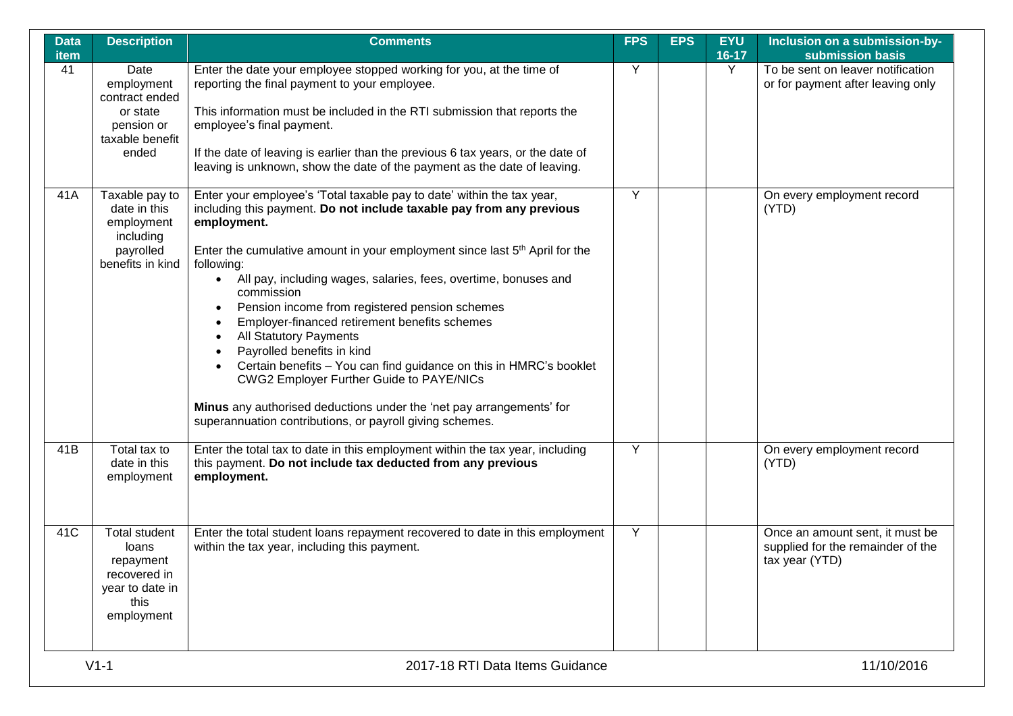| <b>Data</b><br>item | <b>Description</b>                                                                                  | <b>Comments</b>                                                                                                                                                                                                                                                                                                                                                                                                                                                                                                                                                                                                                                                                                                                                                                                                       | <b>FPS</b> | <b>EPS</b> | <b>EYU</b><br>$16 - 17$ | Inclusion on a submission-by-<br>submission basis                                      |
|---------------------|-----------------------------------------------------------------------------------------------------|-----------------------------------------------------------------------------------------------------------------------------------------------------------------------------------------------------------------------------------------------------------------------------------------------------------------------------------------------------------------------------------------------------------------------------------------------------------------------------------------------------------------------------------------------------------------------------------------------------------------------------------------------------------------------------------------------------------------------------------------------------------------------------------------------------------------------|------------|------------|-------------------------|----------------------------------------------------------------------------------------|
| 41                  | Date<br>employment<br>contract ended<br>or state<br>pension or<br>taxable benefit<br>ended          | Enter the date your employee stopped working for you, at the time of<br>reporting the final payment to your employee.<br>This information must be included in the RTI submission that reports the<br>employee's final payment.<br>If the date of leaving is earlier than the previous 6 tax years, or the date of<br>leaving is unknown, show the date of the payment as the date of leaving.                                                                                                                                                                                                                                                                                                                                                                                                                         | Y          |            | Y                       | To be sent on leaver notification<br>or for payment after leaving only                 |
| 41A                 | Taxable pay to<br>date in this<br>employment<br>including<br>payrolled<br>benefits in kind          | Enter your employee's 'Total taxable pay to date' within the tax year,<br>including this payment. Do not include taxable pay from any previous<br>employment.<br>Enter the cumulative amount in your employment since last 5 <sup>th</sup> April for the<br>following:<br>All pay, including wages, salaries, fees, overtime, bonuses and<br>$\bullet$<br>commission<br>Pension income from registered pension schemes<br>٠<br>Employer-financed retirement benefits schemes<br><b>All Statutory Payments</b><br>Payrolled benefits in kind<br>Certain benefits - You can find guidance on this in HMRC's booklet<br>$\bullet$<br><b>CWG2 Employer Further Guide to PAYE/NICs</b><br>Minus any authorised deductions under the 'net pay arrangements' for<br>superannuation contributions, or payroll giving schemes. | Y          |            |                         | On every employment record<br>(YTD)                                                    |
| 41B                 | Total tax to<br>date in this<br>employment                                                          | Enter the total tax to date in this employment within the tax year, including<br>this payment. Do not include tax deducted from any previous<br>employment.                                                                                                                                                                                                                                                                                                                                                                                                                                                                                                                                                                                                                                                           | Y          |            |                         | On every employment record<br>(YTD)                                                    |
| 41C                 | <b>Total student</b><br>loans<br>repayment<br>recovered in<br>year to date in<br>this<br>employment | Enter the total student loans repayment recovered to date in this employment<br>within the tax year, including this payment.                                                                                                                                                                                                                                                                                                                                                                                                                                                                                                                                                                                                                                                                                          | Y          |            |                         | Once an amount sent, it must be<br>supplied for the remainder of the<br>tax year (YTD) |
|                     | $V1-1$                                                                                              | 2017-18 RTI Data Items Guidance                                                                                                                                                                                                                                                                                                                                                                                                                                                                                                                                                                                                                                                                                                                                                                                       |            |            |                         | 11/10/2016                                                                             |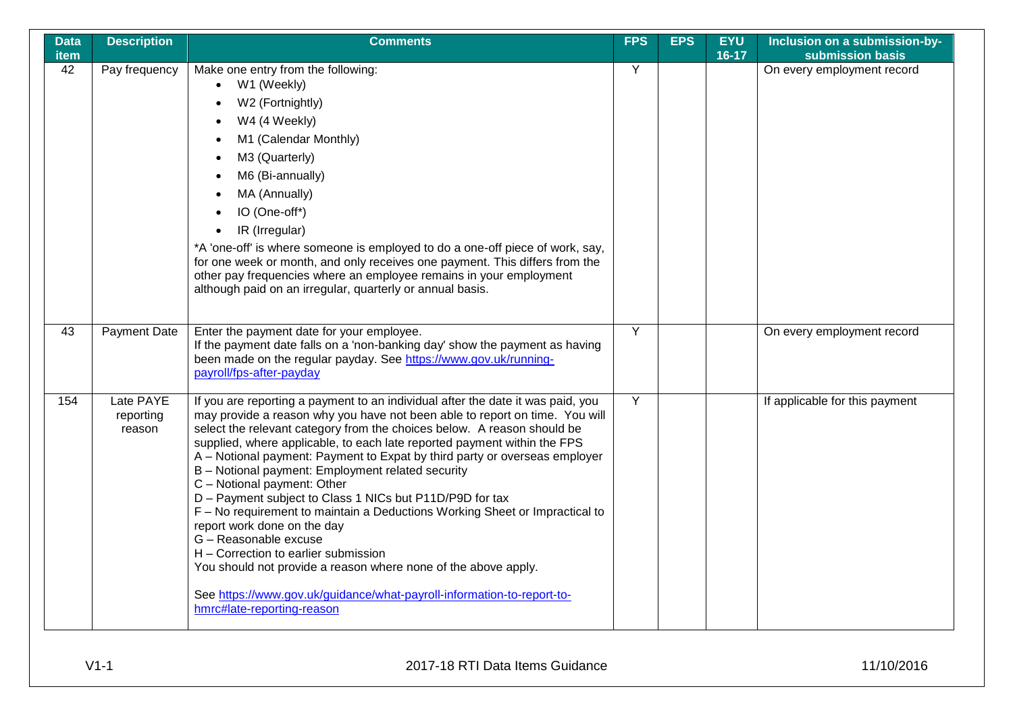| <b>Data</b><br><b>item</b> | <b>Description</b>               | <b>Comments</b>                                                                                                                                                                                                                                                                                                                                                                                                                                                                                                                                                                                                                                                                                                                                                                                                                                                                                              | <b>FPS</b> | <b>EPS</b> | <b>EYU</b><br>$16 - 17$ | Inclusion on a submission-by-<br>submission basis |
|----------------------------|----------------------------------|--------------------------------------------------------------------------------------------------------------------------------------------------------------------------------------------------------------------------------------------------------------------------------------------------------------------------------------------------------------------------------------------------------------------------------------------------------------------------------------------------------------------------------------------------------------------------------------------------------------------------------------------------------------------------------------------------------------------------------------------------------------------------------------------------------------------------------------------------------------------------------------------------------------|------------|------------|-------------------------|---------------------------------------------------|
| 42                         | Pay frequency                    | Make one entry from the following:<br>W1 (Weekly)<br>$\bullet$<br>W2 (Fortnightly)<br>W4 (4 Weekly)<br>M1 (Calendar Monthly)<br>M3 (Quarterly)<br>M6 (Bi-annually)<br>MA (Annually)<br>IO (One-off*)<br>IR (Irregular)<br>$\bullet$<br>*A 'one-off' is where someone is employed to do a one-off piece of work, say,<br>for one week or month, and only receives one payment. This differs from the<br>other pay frequencies where an employee remains in your employment<br>although paid on an irregular, quarterly or annual basis.                                                                                                                                                                                                                                                                                                                                                                       | Y          |            |                         | On every employment record                        |
| 43                         | <b>Payment Date</b>              | Enter the payment date for your employee.<br>If the payment date falls on a 'non-banking day' show the payment as having<br>been made on the regular payday. See https://www.gov.uk/running-<br>payroll/fps-after-payday                                                                                                                                                                                                                                                                                                                                                                                                                                                                                                                                                                                                                                                                                     | Y          |            |                         | On every employment record                        |
| 154                        | Late PAYE<br>reporting<br>reason | If you are reporting a payment to an individual after the date it was paid, you<br>may provide a reason why you have not been able to report on time. You will<br>select the relevant category from the choices below. A reason should be<br>supplied, where applicable, to each late reported payment within the FPS<br>A – Notional payment: Payment to Expat by third party or overseas employer<br>B - Notional payment: Employment related security<br>C - Notional payment: Other<br>D - Payment subject to Class 1 NICs but P11D/P9D for tax<br>F - No requirement to maintain a Deductions Working Sheet or Impractical to<br>report work done on the day<br>G - Reasonable excuse<br>H - Correction to earlier submission<br>You should not provide a reason where none of the above apply.<br>See https://www.gov.uk/guidance/what-payroll-information-to-report-to-<br>hmrc#late-reporting-reason | Y          |            |                         | If applicable for this payment                    |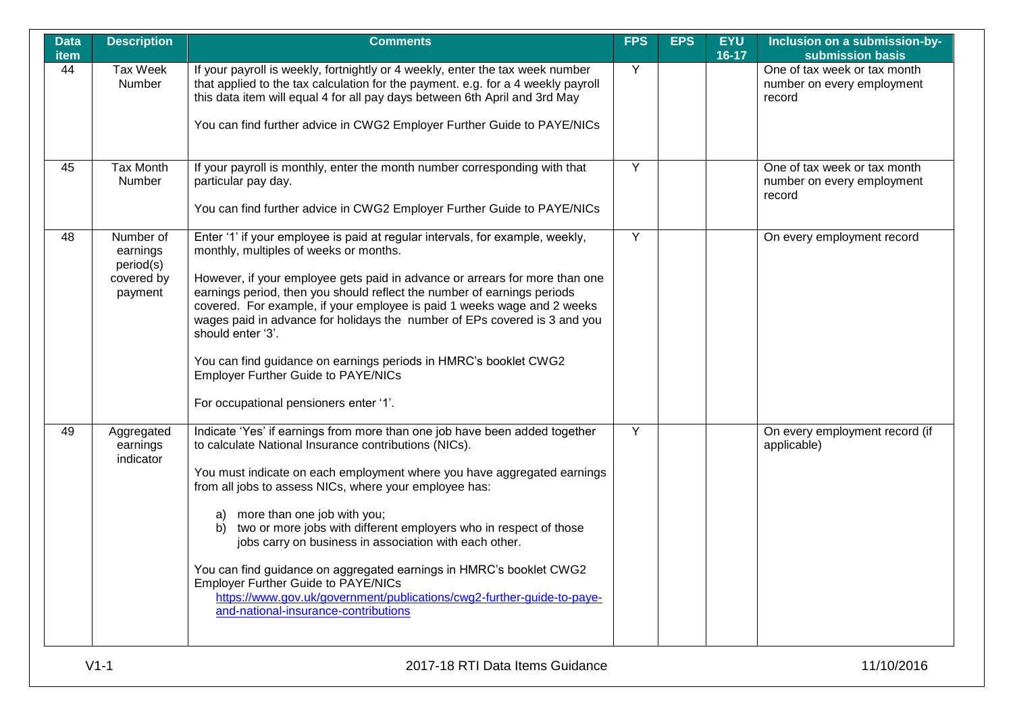| <b>Data</b><br>item | <b>Description</b>                                          | <b>Comments</b>                                                                                                                                                                                                                                                                                                                                                                                                                                                                                                                                                                                                                                                                           | <b>FPS</b>     | <b>EPS</b> | <b>EYU</b><br>$16 - 17$ | Inclusion on a submission-by-<br>submission basis                    |
|---------------------|-------------------------------------------------------------|-------------------------------------------------------------------------------------------------------------------------------------------------------------------------------------------------------------------------------------------------------------------------------------------------------------------------------------------------------------------------------------------------------------------------------------------------------------------------------------------------------------------------------------------------------------------------------------------------------------------------------------------------------------------------------------------|----------------|------------|-------------------------|----------------------------------------------------------------------|
| 44                  | <b>Tax Week</b><br>Number                                   | If your payroll is weekly, fortnightly or 4 weekly, enter the tax week number<br>that applied to the tax calculation for the payment. e.g. for a 4 weekly payroll<br>this data item will equal 4 for all pay days between 6th April and 3rd May<br>You can find further advice in CWG2 Employer Further Guide to PAYE/NICs                                                                                                                                                                                                                                                                                                                                                                | Y              |            |                         | One of tax week or tax month<br>number on every employment<br>record |
| 45                  | Tax Month<br>Number                                         | If your payroll is monthly, enter the month number corresponding with that<br>particular pay day.<br>You can find further advice in CWG2 Employer Further Guide to PAYE/NICs                                                                                                                                                                                                                                                                                                                                                                                                                                                                                                              | Y              |            |                         | One of tax week or tax month<br>number on every employment<br>record |
| 48                  | Number of<br>earnings<br>period(s)<br>covered by<br>payment | Enter '1' if your employee is paid at regular intervals, for example, weekly,<br>monthly, multiples of weeks or months.<br>However, if your employee gets paid in advance or arrears for more than one<br>earnings period, then you should reflect the number of earnings periods<br>covered. For example, if your employee is paid 1 weeks wage and 2 weeks<br>wages paid in advance for holidays the number of EPs covered is 3 and you<br>should enter '3'.<br>You can find guidance on earnings periods in HMRC's booklet CWG2<br><b>Employer Further Guide to PAYE/NICs</b><br>For occupational pensioners enter '1'.                                                                | $\overline{Y}$ |            |                         | On every employment record                                           |
| 49                  | Aggregated<br>earnings<br>indicator                         | Indicate 'Yes' if earnings from more than one job have been added together<br>to calculate National Insurance contributions (NICs).<br>You must indicate on each employment where you have aggregated earnings<br>from all jobs to assess NICs, where your employee has:<br>more than one job with you;<br>a)<br>two or more jobs with different employers who in respect of those<br>b)<br>jobs carry on business in association with each other.<br>You can find guidance on aggregated earnings in HMRC's booklet CWG2<br><b>Employer Further Guide to PAYE/NICs</b><br>https://www.gov.uk/government/publications/cwg2-further-guide-to-paye-<br>and-national-insurance-contributions | Y              |            |                         | On every employment record (if<br>applicable)                        |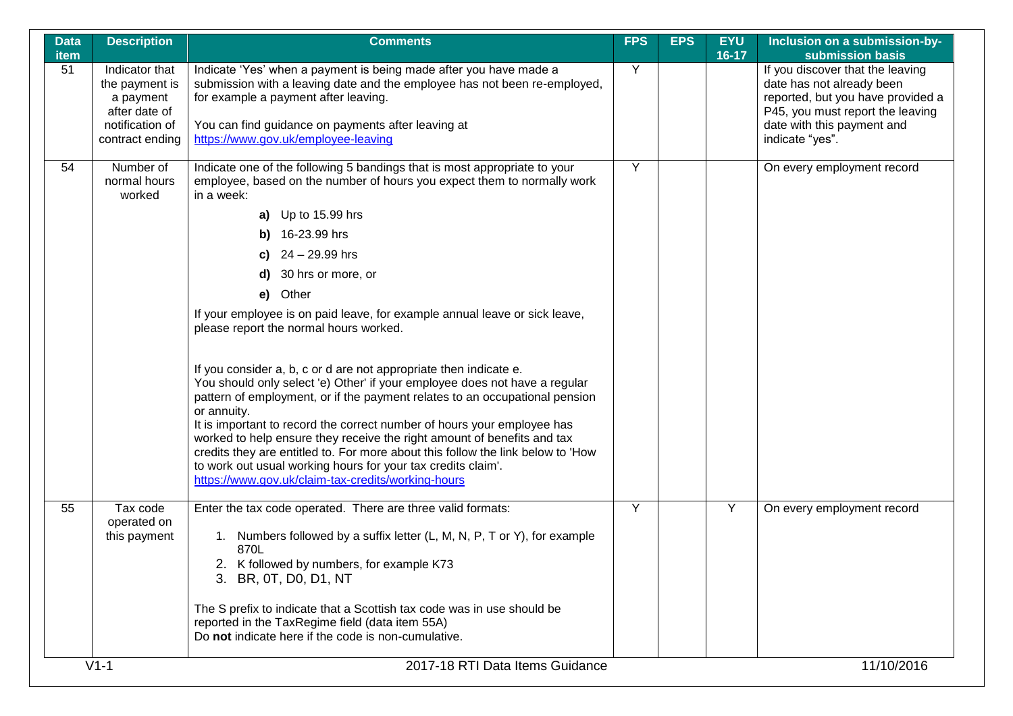| <b>Data</b><br>item | <b>Description</b>                                                                                   | <b>Comments</b>                                                                                                                                                                                                                                                                                                                                                                                                                                                                                                                                                                                                                                                                                                                                                                                            | <b>FPS</b> | <b>EPS</b> | <b>EYU</b><br>16-17 | Inclusion on a submission-by-<br>submission basis                                                                                                                                       |
|---------------------|------------------------------------------------------------------------------------------------------|------------------------------------------------------------------------------------------------------------------------------------------------------------------------------------------------------------------------------------------------------------------------------------------------------------------------------------------------------------------------------------------------------------------------------------------------------------------------------------------------------------------------------------------------------------------------------------------------------------------------------------------------------------------------------------------------------------------------------------------------------------------------------------------------------------|------------|------------|---------------------|-----------------------------------------------------------------------------------------------------------------------------------------------------------------------------------------|
| 51                  | Indicator that<br>the payment is<br>a payment<br>after date of<br>notification of<br>contract ending | Indicate 'Yes' when a payment is being made after you have made a<br>submission with a leaving date and the employee has not been re-employed,<br>for example a payment after leaving.<br>You can find guidance on payments after leaving at<br>https://www.gov.uk/employee-leaving                                                                                                                                                                                                                                                                                                                                                                                                                                                                                                                        | Y          |            |                     | If you discover that the leaving<br>date has not already been<br>reported, but you have provided a<br>P45, you must report the leaving<br>date with this payment and<br>indicate "yes". |
| 54                  | Number of<br>normal hours<br>worked                                                                  | Indicate one of the following 5 bandings that is most appropriate to your<br>employee, based on the number of hours you expect them to normally work<br>in a week:<br>a) Up to 15.99 hrs<br>16-23.99 hrs<br>b)<br>24 - 29.99 hrs<br>C)<br>30 hrs or more, or<br>Other<br>e)<br>If your employee is on paid leave, for example annual leave or sick leave,<br>please report the normal hours worked.<br>If you consider a, b, c or d are not appropriate then indicate e.<br>You should only select 'e) Other' if your employee does not have a regular<br>pattern of employment, or if the payment relates to an occupational pension<br>or annuity.<br>It is important to record the correct number of hours your employee has<br>worked to help ensure they receive the right amount of benefits and tax | Y          |            |                     | On every employment record                                                                                                                                                              |
| 55                  | Tax code                                                                                             | credits they are entitled to. For more about this follow the link below to 'How<br>to work out usual working hours for your tax credits claim'.<br>https://www.gov.uk/claim-tax-credits/working-hours<br>Enter the tax code operated. There are three valid formats:                                                                                                                                                                                                                                                                                                                                                                                                                                                                                                                                       | Y          |            | Y                   | On every employment record                                                                                                                                                              |
|                     | operated on<br>this payment                                                                          | 1. Numbers followed by a suffix letter (L, M, N, P, T or Y), for example<br>870L<br>2. K followed by numbers, for example K73<br>3. BR, 0T, D0, D1, NT<br>The S prefix to indicate that a Scottish tax code was in use should be<br>reported in the TaxRegime field (data item 55A)<br>Do not indicate here if the code is non-cumulative.                                                                                                                                                                                                                                                                                                                                                                                                                                                                 |            |            |                     |                                                                                                                                                                                         |
|                     | $V1-1$                                                                                               | 2017-18 RTI Data Items Guidance                                                                                                                                                                                                                                                                                                                                                                                                                                                                                                                                                                                                                                                                                                                                                                            |            |            |                     | 11/10/2016                                                                                                                                                                              |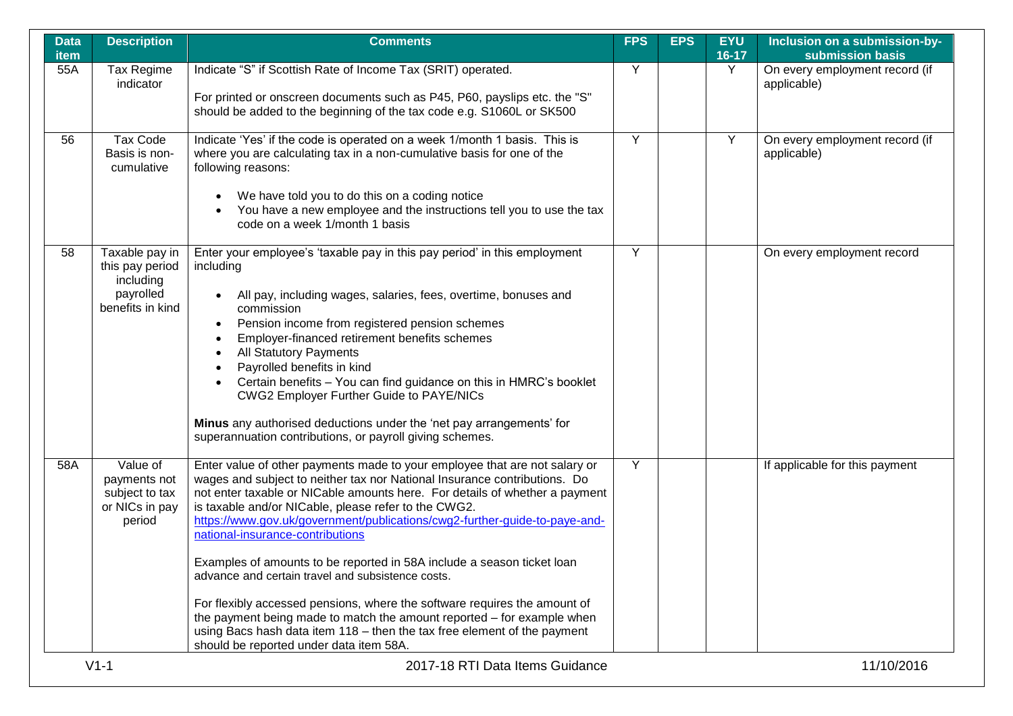| <b>Data</b><br>item | <b>Description</b>                                                              | <b>Comments</b>                                                                                                                                                                                                                                                                                                                                                                                                                                                                                                                                                                                                                                                                                                                                                                                                               | <b>FPS</b> | <b>EPS</b> | <b>EYU</b><br>16-17 | Inclusion on a submission-by-<br>submission basis |
|---------------------|---------------------------------------------------------------------------------|-------------------------------------------------------------------------------------------------------------------------------------------------------------------------------------------------------------------------------------------------------------------------------------------------------------------------------------------------------------------------------------------------------------------------------------------------------------------------------------------------------------------------------------------------------------------------------------------------------------------------------------------------------------------------------------------------------------------------------------------------------------------------------------------------------------------------------|------------|------------|---------------------|---------------------------------------------------|
| 55A                 | Tax Regime<br>indicator                                                         | Indicate "S" if Scottish Rate of Income Tax (SRIT) operated.<br>For printed or onscreen documents such as P45, P60, payslips etc. the "S"<br>should be added to the beginning of the tax code e.g. S1060L or SK500                                                                                                                                                                                                                                                                                                                                                                                                                                                                                                                                                                                                            | Y          |            | Y                   | On every employment record (if<br>applicable)     |
| 56                  | Tax Code<br>Basis is non-<br>cumulative                                         | Indicate 'Yes' if the code is operated on a week 1/month 1 basis. This is<br>where you are calculating tax in a non-cumulative basis for one of the<br>following reasons:<br>We have told you to do this on a coding notice<br>You have a new employee and the instructions tell you to use the tax<br>code on a week 1/month 1 basis                                                                                                                                                                                                                                                                                                                                                                                                                                                                                         | Y          |            | Y                   | On every employment record (if<br>applicable)     |
| 58                  | Taxable pay in<br>this pay period<br>including<br>payrolled<br>benefits in kind | Enter your employee's 'taxable pay in this pay period' in this employment<br>including<br>All pay, including wages, salaries, fees, overtime, bonuses and<br>commission<br>Pension income from registered pension schemes<br>$\bullet$<br>Employer-financed retirement benefits schemes<br><b>All Statutory Payments</b><br>Payrolled benefits in kind<br>Certain benefits - You can find guidance on this in HMRC's booklet<br><b>CWG2 Employer Further Guide to PAYE/NICs</b><br>Minus any authorised deductions under the 'net pay arrangements' for<br>superannuation contributions, or payroll giving schemes.                                                                                                                                                                                                           | Y          |            |                     | On every employment record                        |
| 58A                 | Value of<br>payments not<br>subject to tax<br>or NICs in pay<br>period          | Enter value of other payments made to your employee that are not salary or<br>wages and subject to neither tax nor National Insurance contributions. Do<br>not enter taxable or NICable amounts here. For details of whether a payment<br>is taxable and/or NICable, please refer to the CWG2.<br>https://www.gov.uk/government/publications/cwg2-further-guide-to-paye-and-<br>national-insurance-contributions<br>Examples of amounts to be reported in 58A include a season ticket loan<br>advance and certain travel and subsistence costs.<br>For flexibly accessed pensions, where the software requires the amount of<br>the payment being made to match the amount reported – for example when<br>using Bacs hash data item 118 - then the tax free element of the payment<br>should be reported under data item 58A. | Y          |            |                     | If applicable for this payment                    |
|                     | $V1-1$                                                                          | 2017-18 RTI Data Items Guidance                                                                                                                                                                                                                                                                                                                                                                                                                                                                                                                                                                                                                                                                                                                                                                                               |            |            |                     | 11/10/2016                                        |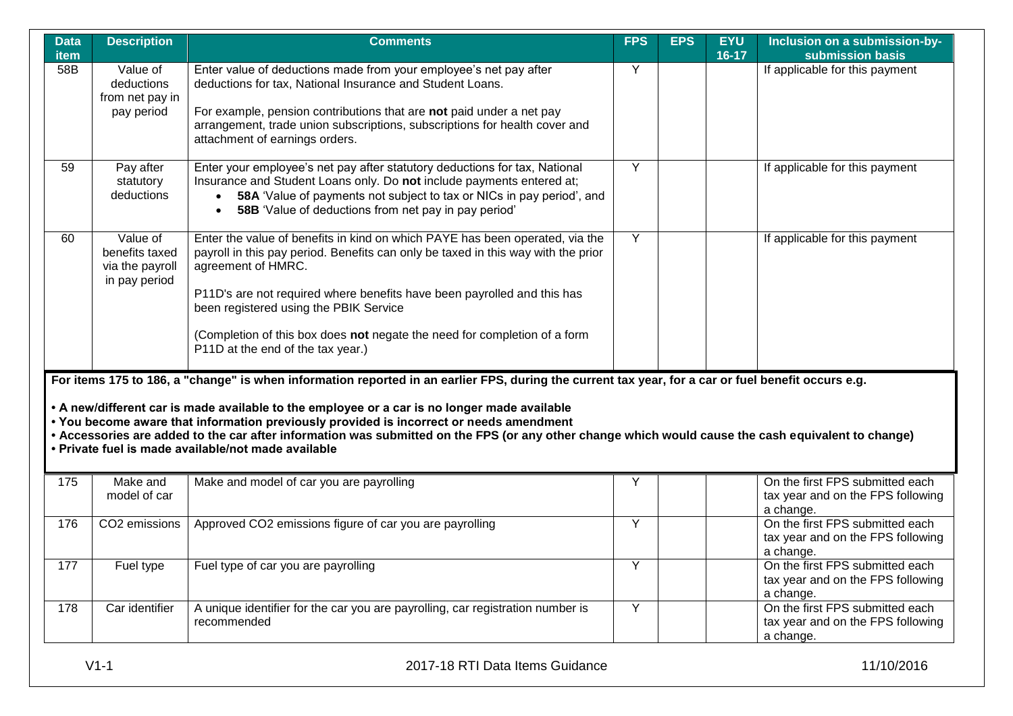| <b>Data</b><br><b>item</b> | <b>Description</b>                                             | <b>Comments</b>                                                                                                                                                                                                                                                                                                                                                                                                                                                                                                                                                                                          | <b>FPS</b>     | <b>EPS</b> | <b>EYU</b><br>$16-17$ | Inclusion on a submission-by-<br>submission basis                                              |
|----------------------------|----------------------------------------------------------------|----------------------------------------------------------------------------------------------------------------------------------------------------------------------------------------------------------------------------------------------------------------------------------------------------------------------------------------------------------------------------------------------------------------------------------------------------------------------------------------------------------------------------------------------------------------------------------------------------------|----------------|------------|-----------------------|------------------------------------------------------------------------------------------------|
| 58B                        | Value of<br>deductions<br>from net pay in<br>pay period        | Enter value of deductions made from your employee's net pay after<br>deductions for tax, National Insurance and Student Loans.<br>For example, pension contributions that are not paid under a net pay<br>arrangement, trade union subscriptions, subscriptions for health cover and<br>attachment of earnings orders.                                                                                                                                                                                                                                                                                   | Y              |            |                       | If applicable for this payment                                                                 |
| 59                         | Pay after<br>statutory<br>deductions                           | Enter your employee's net pay after statutory deductions for tax, National<br>Insurance and Student Loans only. Do not include payments entered at;<br>• 58A 'Value of payments not subject to tax or NICs in pay period', and<br>58B 'Value of deductions from net pay in pay period'<br>$\bullet$                                                                                                                                                                                                                                                                                                      | Y              |            |                       | If applicable for this payment                                                                 |
| 60                         | Value of<br>benefits taxed<br>via the payroll<br>in pay period | Enter the value of benefits in kind on which PAYE has been operated, via the<br>payroll in this pay period. Benefits can only be taxed in this way with the prior<br>agreement of HMRC.<br>P11D's are not required where benefits have been payrolled and this has<br>been registered using the PBIK Service<br>(Completion of this box does not negate the need for completion of a form<br>P11D at the end of the tax year.)                                                                                                                                                                           | $\overline{Y}$ |            |                       | If applicable for this payment                                                                 |
| 175                        | Make and<br>model of car                                       | For items 175 to 186, a "change" is when information reported in an earlier FPS, during the current tax year, for a car or fuel benefit occurs e.g.<br>• A new/different car is made available to the employee or a car is no longer made available<br>. You become aware that information previously provided is incorrect or needs amendment<br>• Accessories are added to the car after information was submitted on the FPS (or any other change which would cause the cash equivalent to change)<br>• Private fuel is made available/not made available<br>Make and model of car you are payrolling | Y              |            |                       | On the first FPS submitted each<br>tax year and on the FPS following                           |
| 176                        | CO2 emissions                                                  | Approved CO2 emissions figure of car you are payrolling                                                                                                                                                                                                                                                                                                                                                                                                                                                                                                                                                  | Y              |            |                       | a change.<br>On the first FPS submitted each<br>tax year and on the FPS following<br>a change. |
| 177                        | Fuel type                                                      | Fuel type of car you are payrolling                                                                                                                                                                                                                                                                                                                                                                                                                                                                                                                                                                      | Y              |            |                       | On the first FPS submitted each<br>tax year and on the FPS following<br>a change.              |
| 178                        | Car identifier                                                 | A unique identifier for the car you are payrolling, car registration number is<br>recommended                                                                                                                                                                                                                                                                                                                                                                                                                                                                                                            | Y              |            |                       | On the first FPS submitted each<br>tax year and on the FPS following<br>a change.              |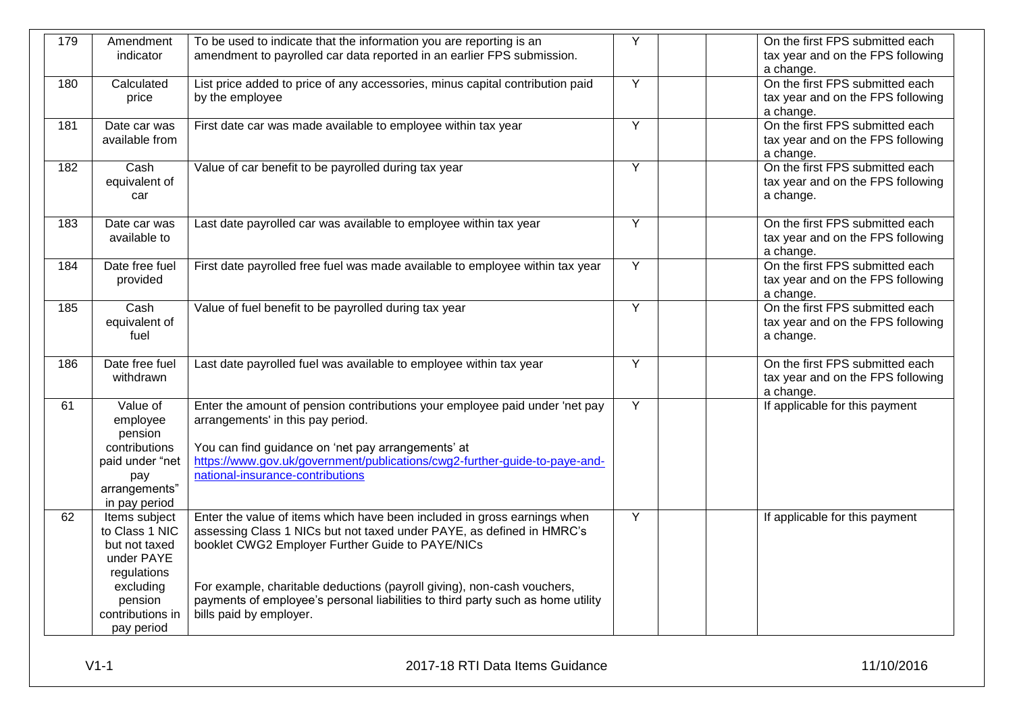| 179 | Amendment<br>indicator                                                                                                                  | To be used to indicate that the information you are reporting is an<br>amendment to payrolled car data reported in an earlier FPS submission.                                                                                                                                                                                                                                                  | Y              | On the first FPS submitted each<br>tax year and on the FPS following<br>a change. |
|-----|-----------------------------------------------------------------------------------------------------------------------------------------|------------------------------------------------------------------------------------------------------------------------------------------------------------------------------------------------------------------------------------------------------------------------------------------------------------------------------------------------------------------------------------------------|----------------|-----------------------------------------------------------------------------------|
| 180 | Calculated<br>price                                                                                                                     | List price added to price of any accessories, minus capital contribution paid<br>by the employee                                                                                                                                                                                                                                                                                               | Y              | On the first FPS submitted each<br>tax year and on the FPS following<br>a change. |
| 181 | Date car was<br>available from                                                                                                          | First date car was made available to employee within tax year                                                                                                                                                                                                                                                                                                                                  | $\overline{Y}$ | On the first FPS submitted each<br>tax year and on the FPS following<br>a change. |
| 182 | Cash<br>equivalent of<br>car                                                                                                            | Value of car benefit to be payrolled during tax year                                                                                                                                                                                                                                                                                                                                           | $\overline{Y}$ | On the first FPS submitted each<br>tax year and on the FPS following<br>a change. |
| 183 | Date car was<br>available to                                                                                                            | Last date payrolled car was available to employee within tax year                                                                                                                                                                                                                                                                                                                              | Y              | On the first FPS submitted each<br>tax year and on the FPS following<br>a change. |
| 184 | Date free fuel<br>provided                                                                                                              | First date payrolled free fuel was made available to employee within tax year                                                                                                                                                                                                                                                                                                                  | Y              | On the first FPS submitted each<br>tax year and on the FPS following<br>a change. |
| 185 | Cash<br>equivalent of<br>fuel                                                                                                           | Value of fuel benefit to be payrolled during tax year                                                                                                                                                                                                                                                                                                                                          | Y              | On the first FPS submitted each<br>tax year and on the FPS following<br>a change. |
| 186 | Date free fuel<br>withdrawn                                                                                                             | Last date payrolled fuel was available to employee within tax year                                                                                                                                                                                                                                                                                                                             | Y              | On the first FPS submitted each<br>tax year and on the FPS following<br>a change. |
| 61  | Value of<br>employee<br>pension<br>contributions<br>paid under "net<br>pay<br>arrangements"<br>in pay period                            | Enter the amount of pension contributions your employee paid under 'net pay<br>arrangements' in this pay period.<br>You can find guidance on 'net pay arrangements' at<br>https://www.gov.uk/government/publications/cwg2-further-guide-to-paye-and-<br>national-insurance-contributions                                                                                                       | Y              | If applicable for this payment                                                    |
| 62  | Items subject<br>to Class 1 NIC<br>but not taxed<br>under PAYE<br>regulations<br>excluding<br>pension<br>contributions in<br>pay period | Enter the value of items which have been included in gross earnings when<br>assessing Class 1 NICs but not taxed under PAYE, as defined in HMRC's<br>booklet CWG2 Employer Further Guide to PAYE/NICs<br>For example, charitable deductions (payroll giving), non-cash vouchers,<br>payments of employee's personal liabilities to third party such as home utility<br>bills paid by employer. | Y              | If applicable for this payment                                                    |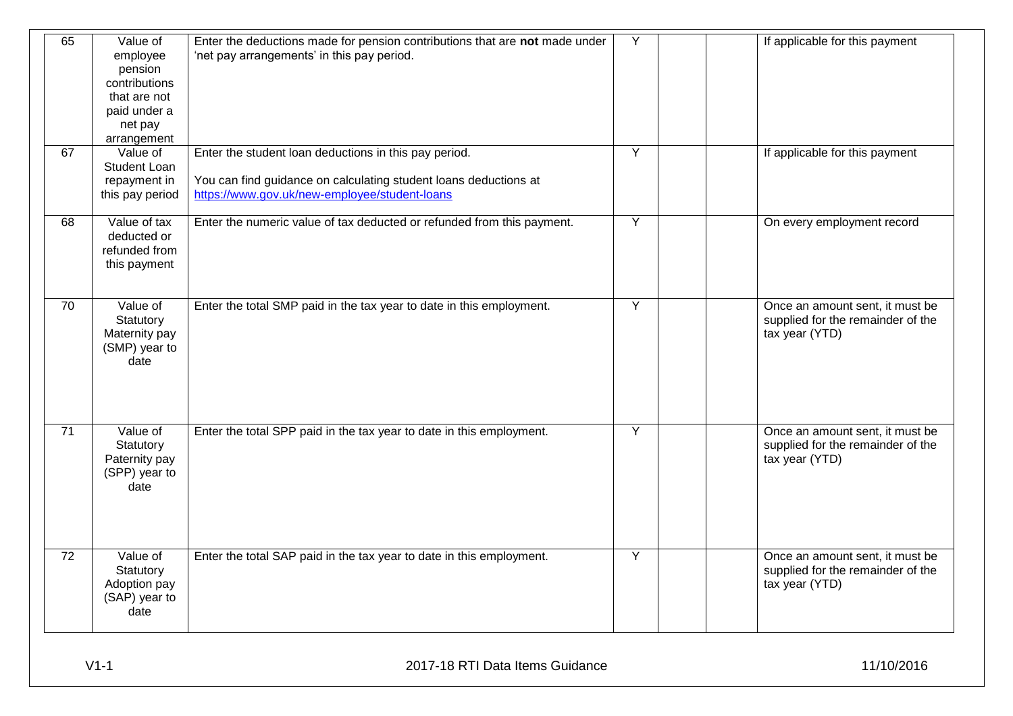| 65              | Value of<br>employee<br>pension<br>contributions<br>that are not<br>paid under a<br>net pay<br>arrangement | Enter the deductions made for pension contributions that are not made under<br>'net pay arrangements' in this pay period.                                                  | Y | If applicable for this payment                                                         |
|-----------------|------------------------------------------------------------------------------------------------------------|----------------------------------------------------------------------------------------------------------------------------------------------------------------------------|---|----------------------------------------------------------------------------------------|
| 67              | Value of<br><b>Student Loan</b><br>repayment in<br>this pay period                                         | Enter the student loan deductions in this pay period.<br>You can find guidance on calculating student loans deductions at<br>https://www.gov.uk/new-employee/student-loans | Y | If applicable for this payment                                                         |
| 68              | Value of tax<br>deducted or<br>refunded from<br>this payment                                               | Enter the numeric value of tax deducted or refunded from this payment.                                                                                                     | Y | On every employment record                                                             |
| 70              | Value of<br>Statutory<br>Maternity pay<br>(SMP) year to<br>date                                            | Enter the total SMP paid in the tax year to date in this employment.                                                                                                       | Y | Once an amount sent, it must be<br>supplied for the remainder of the<br>tax year (YTD) |
| $\overline{71}$ | Value of<br>Statutory<br>Paternity pay<br>(SPP) year to<br>date                                            | Enter the total SPP paid in the tax year to date in this employment.                                                                                                       | Y | Once an amount sent, it must be<br>supplied for the remainder of the<br>tax year (YTD) |
| 72              | Value of<br>Statutory<br>Adoption pay<br>(SAP) year to<br>date                                             | Enter the total SAP paid in the tax year to date in this employment.                                                                                                       | Y | Once an amount sent, it must be<br>supplied for the remainder of the<br>tax year (YTD) |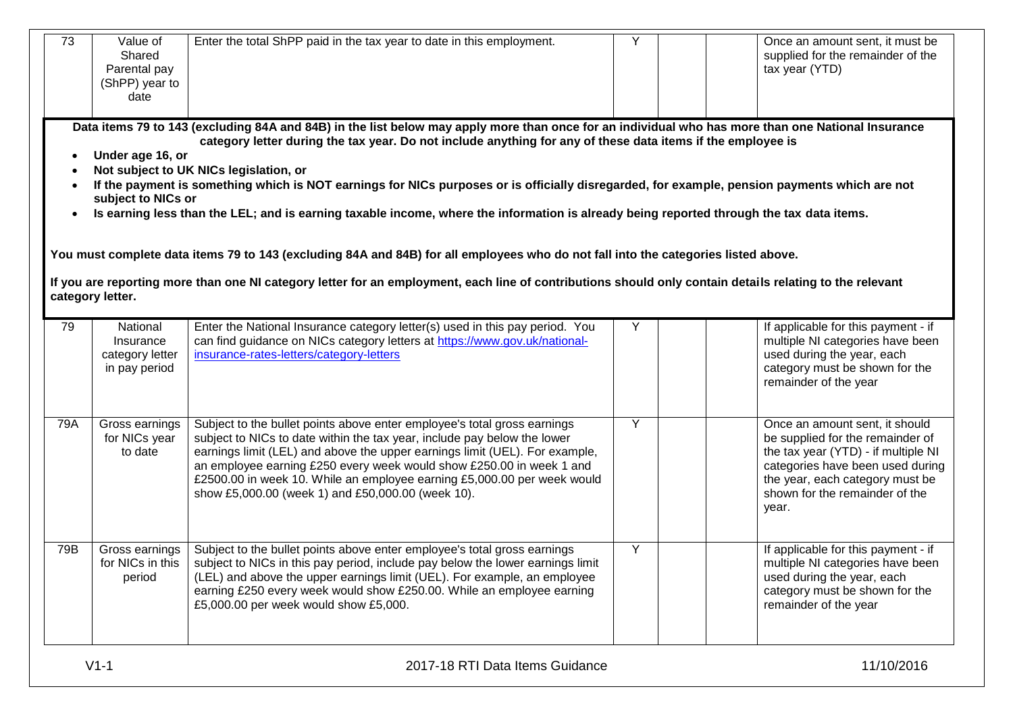| 73  | Value of<br>Shared<br>Parental pay<br>(ShPP) year to<br>date                  | Enter the total ShPP paid in the tax year to date in this employment.                                                                                                                                                                                                                                                                                                                                                                                                                                                                                                                                                                                                                                                                                                                                                                                                                                      | Υ | Once an amount sent, it must be<br>supplied for the remainder of the<br>tax year (YTD)                                                                                                                                      |
|-----|-------------------------------------------------------------------------------|------------------------------------------------------------------------------------------------------------------------------------------------------------------------------------------------------------------------------------------------------------------------------------------------------------------------------------------------------------------------------------------------------------------------------------------------------------------------------------------------------------------------------------------------------------------------------------------------------------------------------------------------------------------------------------------------------------------------------------------------------------------------------------------------------------------------------------------------------------------------------------------------------------|---|-----------------------------------------------------------------------------------------------------------------------------------------------------------------------------------------------------------------------------|
|     | Under age 16, or<br>subject to NICs or                                        | Data items 79 to 143 (excluding 84A and 84B) in the list below may apply more than once for an individual who has more than one National Insurance<br>category letter during the tax year. Do not include anything for any of these data items if the employee is<br>Not subject to UK NICs legislation, or<br>If the payment is something which is NOT earnings for NICs purposes or is officially disregarded, for example, pension payments which are not<br>Is earning less than the LEL; and is earning taxable income, where the information is already being reported through the tax data items.<br>You must complete data items 79 to 143 (excluding 84A and 84B) for all employees who do not fall into the categories listed above.<br>If you are reporting more than one NI category letter for an employment, each line of contributions should only contain details relating to the relevant |   |                                                                                                                                                                                                                             |
| 79  | category letter.<br>National<br>Insurance<br>category letter<br>in pay period | Enter the National Insurance category letter(s) used in this pay period. You<br>can find guidance on NICs category letters at https://www.gov.uk/national-<br>insurance-rates-letters/category-letters                                                                                                                                                                                                                                                                                                                                                                                                                                                                                                                                                                                                                                                                                                     | Y | If applicable for this payment - if<br>multiple NI categories have been<br>used during the year, each<br>category must be shown for the<br>remainder of the year                                                            |
| 79A | Gross earnings<br>for NICs year<br>to date                                    | Subject to the bullet points above enter employee's total gross earnings<br>subject to NICs to date within the tax year, include pay below the lower<br>earnings limit (LEL) and above the upper earnings limit (UEL). For example,<br>an employee earning £250 every week would show £250.00 in week 1 and<br>£2500.00 in week 10. While an employee earning £5,000.00 per week would<br>show £5,000.00 (week 1) and £50,000.00 (week 10).                                                                                                                                                                                                                                                                                                                                                                                                                                                                | Y | Once an amount sent, it should<br>be supplied for the remainder of<br>the tax year (YTD) - if multiple NI<br>categories have been used during<br>the year, each category must be<br>shown for the remainder of the<br>year. |
| 79B | Gross earnings<br>for NICs in this<br>period                                  | Subject to the bullet points above enter employee's total gross earnings<br>subject to NICs in this pay period, include pay below the lower earnings limit<br>(LEL) and above the upper earnings limit (UEL). For example, an employee<br>earning £250 every week would show £250.00. While an employee earning<br>£5,000.00 per week would show £5,000.                                                                                                                                                                                                                                                                                                                                                                                                                                                                                                                                                   | Y | If applicable for this payment - if<br>multiple NI categories have been<br>used during the year, each<br>category must be shown for the<br>remainder of the year                                                            |
|     | $V1-1$                                                                        | 2017-18 RTI Data Items Guidance                                                                                                                                                                                                                                                                                                                                                                                                                                                                                                                                                                                                                                                                                                                                                                                                                                                                            |   | 11/10/2016                                                                                                                                                                                                                  |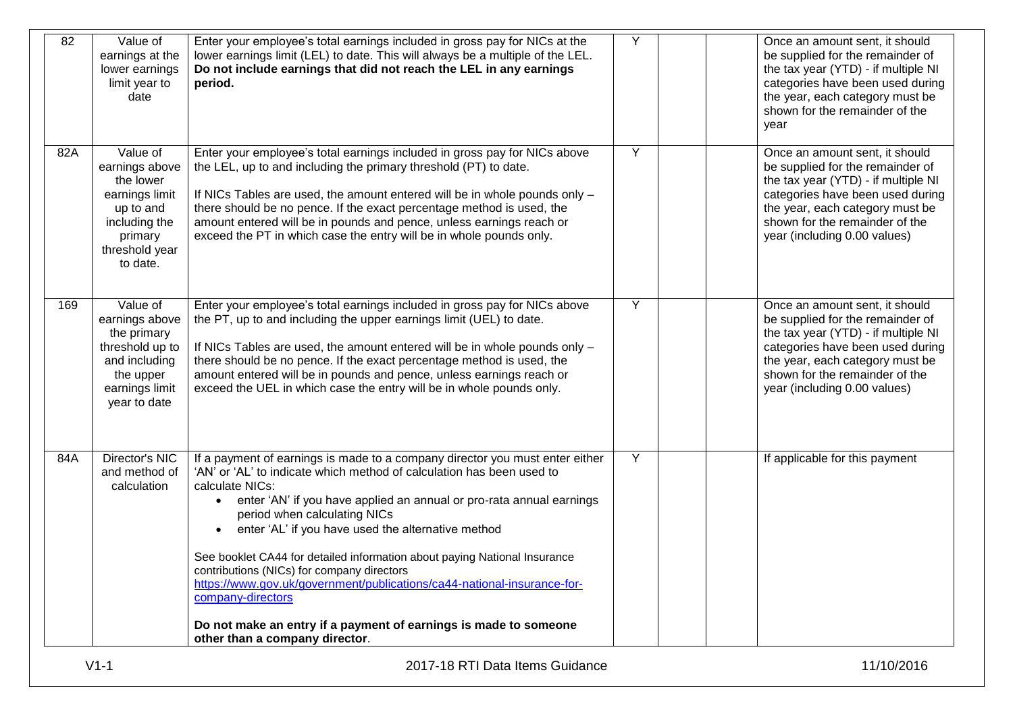| 82  | Value of<br>earnings at the<br>lower earnings<br>limit year to<br>date                                                           | Enter your employee's total earnings included in gross pay for NICs at the<br>lower earnings limit (LEL) to date. This will always be a multiple of the LEL.<br>Do not include earnings that did not reach the LEL in any earnings<br>period.                                                                                                                                                                                                                                                                                                                                                                                                                                                     | Y | Once an amount sent, it should<br>be supplied for the remainder of<br>the tax year (YTD) - if multiple NI<br>categories have been used during<br>the year, each category must be<br>shown for the remainder of the<br>year                         |
|-----|----------------------------------------------------------------------------------------------------------------------------------|---------------------------------------------------------------------------------------------------------------------------------------------------------------------------------------------------------------------------------------------------------------------------------------------------------------------------------------------------------------------------------------------------------------------------------------------------------------------------------------------------------------------------------------------------------------------------------------------------------------------------------------------------------------------------------------------------|---|----------------------------------------------------------------------------------------------------------------------------------------------------------------------------------------------------------------------------------------------------|
| 82A | Value of<br>earnings above<br>the lower<br>earnings limit<br>up to and<br>including the<br>primary<br>threshold year<br>to date. | Enter your employee's total earnings included in gross pay for NICs above<br>the LEL, up to and including the primary threshold (PT) to date.<br>If NICs Tables are used, the amount entered will be in whole pounds only -<br>there should be no pence. If the exact percentage method is used, the<br>amount entered will be in pounds and pence, unless earnings reach or<br>exceed the PT in which case the entry will be in whole pounds only.                                                                                                                                                                                                                                               | Y | Once an amount sent, it should<br>be supplied for the remainder of<br>the tax year (YTD) - if multiple NI<br>categories have been used during<br>the year, each category must be<br>shown for the remainder of the<br>year (including 0.00 values) |
| 169 | Value of<br>earnings above<br>the primary<br>threshold up to<br>and including<br>the upper<br>earnings limit<br>year to date     | Enter your employee's total earnings included in gross pay for NICs above<br>the PT, up to and including the upper earnings limit (UEL) to date.<br>If NICs Tables are used, the amount entered will be in whole pounds only -<br>there should be no pence. If the exact percentage method is used, the<br>amount entered will be in pounds and pence, unless earnings reach or<br>exceed the UEL in which case the entry will be in whole pounds only.                                                                                                                                                                                                                                           | Y | Once an amount sent, it should<br>be supplied for the remainder of<br>the tax year (YTD) - if multiple NI<br>categories have been used during<br>the year, each category must be<br>shown for the remainder of the<br>year (including 0.00 values) |
| 84A | Director's NIC<br>and method of<br>calculation                                                                                   | If a payment of earnings is made to a company director you must enter either<br>'AN' or 'AL' to indicate which method of calculation has been used to<br>calculate NICs:<br>enter 'AN' if you have applied an annual or pro-rata annual earnings<br>$\bullet$<br>period when calculating NICs<br>enter 'AL' if you have used the alternative method<br>$\bullet$<br>See booklet CA44 for detailed information about paying National Insurance<br>contributions (NICs) for company directors<br>https://www.gov.uk/government/publications/ca44-national-insurance-for-<br>company-directors<br>Do not make an entry if a payment of earnings is made to someone<br>other than a company director. | Y | If applicable for this payment                                                                                                                                                                                                                     |
|     | $V1-1$                                                                                                                           | 2017-18 RTI Data Items Guidance                                                                                                                                                                                                                                                                                                                                                                                                                                                                                                                                                                                                                                                                   |   | 11/10/2016                                                                                                                                                                                                                                         |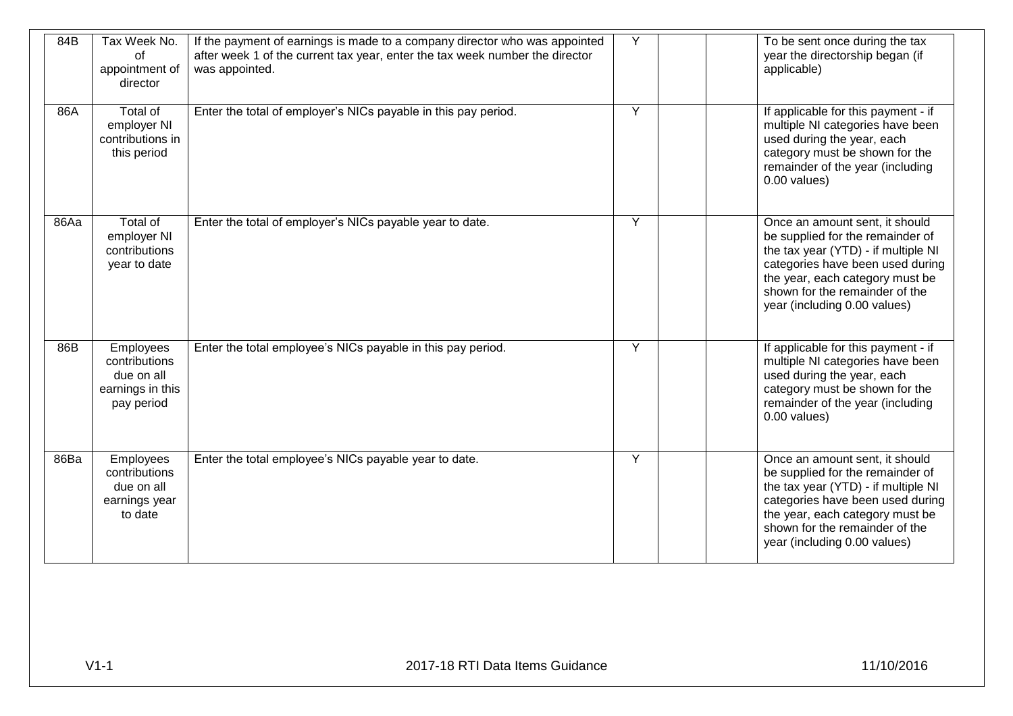| 84B  | Tax Week No.<br>of<br>appointment of<br>director                            | If the payment of earnings is made to a company director who was appointed<br>after week 1 of the current tax year, enter the tax week number the director<br>was appointed. | Y | To be sent once during the tax<br>year the directorship began (if<br>applicable)                                                                                                                                                                   |
|------|-----------------------------------------------------------------------------|------------------------------------------------------------------------------------------------------------------------------------------------------------------------------|---|----------------------------------------------------------------------------------------------------------------------------------------------------------------------------------------------------------------------------------------------------|
| 86A  | Total of<br>employer NI<br>contributions in<br>this period                  | Enter the total of employer's NICs payable in this pay period.                                                                                                               | Y | If applicable for this payment - if<br>multiple NI categories have been<br>used during the year, each<br>category must be shown for the<br>remainder of the year (including<br>0.00 values)                                                        |
| 86Aa | Total of<br>employer NI<br>contributions<br>year to date                    | Enter the total of employer's NICs payable year to date.                                                                                                                     | Ÿ | Once an amount sent, it should<br>be supplied for the remainder of<br>the tax year (YTD) - if multiple NI<br>categories have been used during<br>the year, each category must be<br>shown for the remainder of the<br>year (including 0.00 values) |
| 86B  | Employees<br>contributions<br>due on all<br>earnings in this<br>pay period  | Enter the total employee's NICs payable in this pay period.                                                                                                                  | Y | If applicable for this payment - if<br>multiple NI categories have been<br>used during the year, each<br>category must be shown for the<br>remainder of the year (including<br>$0.00$ values)                                                      |
| 86Ba | <b>Employees</b><br>contributions<br>due on all<br>earnings year<br>to date | Enter the total employee's NICs payable year to date.                                                                                                                        | Y | Once an amount sent, it should<br>be supplied for the remainder of<br>the tax year (YTD) - if multiple NI<br>categories have been used during<br>the year, each category must be<br>shown for the remainder of the<br>year (including 0.00 values) |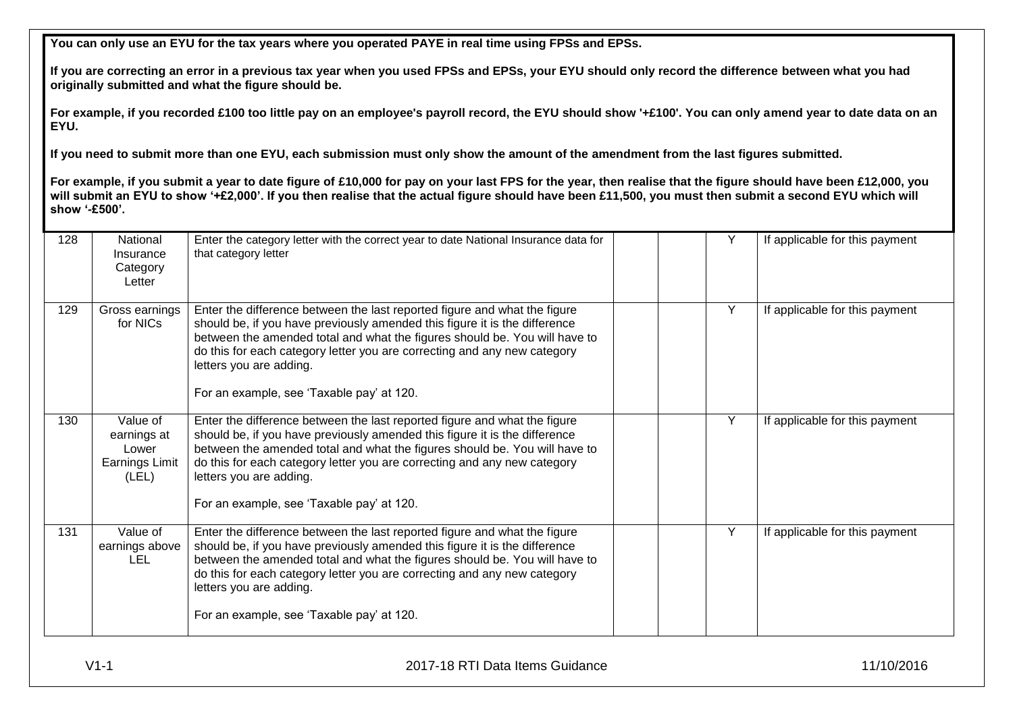**You can only use an EYU for the tax years where you operated PAYE in real time using FPSs and EPSs.**

**If you are correcting an error in a previous tax year when you used FPSs and EPSs, your EYU should only record the difference between what you had originally submitted and what the figure should be.**

**For example, if you recorded £100 too little pay on an employee's payroll record, the EYU should show '+£100'. You can only amend year to date data on an EYU.** 

**If you need to submit more than one EYU, each submission must only show the amount of the amendment from the last figures submitted.**

**For example, if you submit a year to date figure of £10,000 for pay on your last FPS for the year, then realise that the figure should have been £12,000, you**  will submit an EYU to show '+£2,000'. If you then realise that the actual figure should have been £11,500, you must then submit a second EYU which will **show '-£500'.**

| 128 | National<br>Insurance<br>Category<br>Letter                 | Enter the category letter with the correct year to date National Insurance data for<br>that category letter                                                                                                                                                                                                                                                                               |  |   | If applicable for this payment |
|-----|-------------------------------------------------------------|-------------------------------------------------------------------------------------------------------------------------------------------------------------------------------------------------------------------------------------------------------------------------------------------------------------------------------------------------------------------------------------------|--|---|--------------------------------|
| 129 | Gross earnings<br>for NICs                                  | Enter the difference between the last reported figure and what the figure<br>should be, if you have previously amended this figure it is the difference<br>between the amended total and what the figures should be. You will have to<br>do this for each category letter you are correcting and any new category<br>letters you are adding.<br>For an example, see 'Taxable pay' at 120. |  | Y | If applicable for this payment |
| 130 | Value of<br>earnings at<br>Lower<br>Earnings Limit<br>(LEL) | Enter the difference between the last reported figure and what the figure<br>should be, if you have previously amended this figure it is the difference<br>between the amended total and what the figures should be. You will have to<br>do this for each category letter you are correcting and any new category<br>letters you are adding.<br>For an example, see 'Taxable pay' at 120. |  | Υ | If applicable for this payment |
| 131 | Value of<br>earnings above<br><b>LEL</b>                    | Enter the difference between the last reported figure and what the figure<br>should be, if you have previously amended this figure it is the difference<br>between the amended total and what the figures should be. You will have to<br>do this for each category letter you are correcting and any new category<br>letters you are adding.<br>For an example, see 'Taxable pay' at 120. |  |   | If applicable for this payment |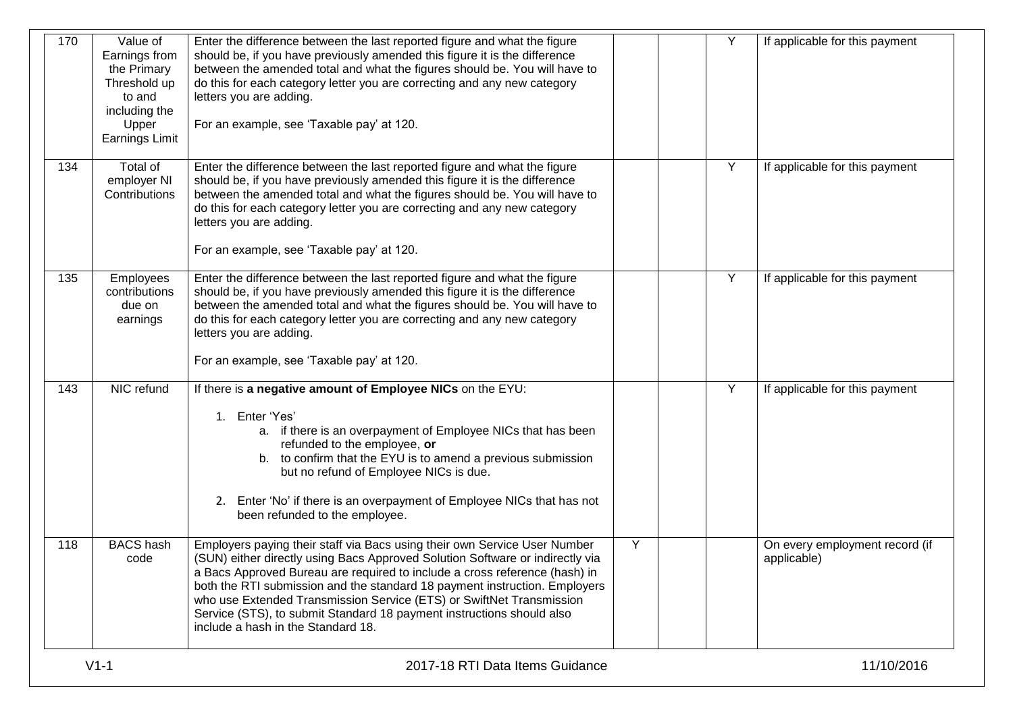| 170 | Value of<br>Earnings from<br>the Primary<br>Threshold up<br>to and<br>including the<br>Upper<br>Earnings Limit | Enter the difference between the last reported figure and what the figure<br>should be, if you have previously amended this figure it is the difference<br>between the amended total and what the figures should be. You will have to<br>do this for each category letter you are correcting and any new category<br>letters you are adding.<br>For an example, see 'Taxable pay' at 120.                                                                                                                     |   | Y | If applicable for this payment                |
|-----|----------------------------------------------------------------------------------------------------------------|---------------------------------------------------------------------------------------------------------------------------------------------------------------------------------------------------------------------------------------------------------------------------------------------------------------------------------------------------------------------------------------------------------------------------------------------------------------------------------------------------------------|---|---|-----------------------------------------------|
| 134 | Total of<br>employer NI<br>Contributions                                                                       | Enter the difference between the last reported figure and what the figure<br>should be, if you have previously amended this figure it is the difference<br>between the amended total and what the figures should be. You will have to<br>do this for each category letter you are correcting and any new category<br>letters you are adding.<br>For an example, see 'Taxable pay' at 120.                                                                                                                     |   | Y | If applicable for this payment                |
| 135 | Employees<br>contributions<br>due on<br>earnings                                                               | Enter the difference between the last reported figure and what the figure<br>should be, if you have previously amended this figure it is the difference<br>between the amended total and what the figures should be. You will have to<br>do this for each category letter you are correcting and any new category<br>letters you are adding.<br>For an example, see 'Taxable pay' at 120.                                                                                                                     |   | Y | If applicable for this payment                |
| 143 | NIC refund                                                                                                     | If there is a negative amount of Employee NICs on the EYU:<br>1. Enter 'Yes'<br>a. if there is an overpayment of Employee NICs that has been<br>refunded to the employee, or<br>to confirm that the EYU is to amend a previous submission<br>b.<br>but no refund of Employee NICs is due.<br>2. Enter 'No' if there is an overpayment of Employee NICs that has not<br>been refunded to the employee.                                                                                                         |   | Y | If applicable for this payment                |
| 118 | <b>BACS</b> hash<br>code                                                                                       | Employers paying their staff via Bacs using their own Service User Number<br>(SUN) either directly using Bacs Approved Solution Software or indirectly via<br>a Bacs Approved Bureau are required to include a cross reference (hash) in<br>both the RTI submission and the standard 18 payment instruction. Employers<br>who use Extended Transmission Service (ETS) or SwiftNet Transmission<br>Service (STS), to submit Standard 18 payment instructions should also<br>include a hash in the Standard 18. | Y |   | On every employment record (if<br>applicable) |
|     | $V1-1$                                                                                                         | 2017-18 RTI Data Items Guidance                                                                                                                                                                                                                                                                                                                                                                                                                                                                               |   |   | 11/10/2016                                    |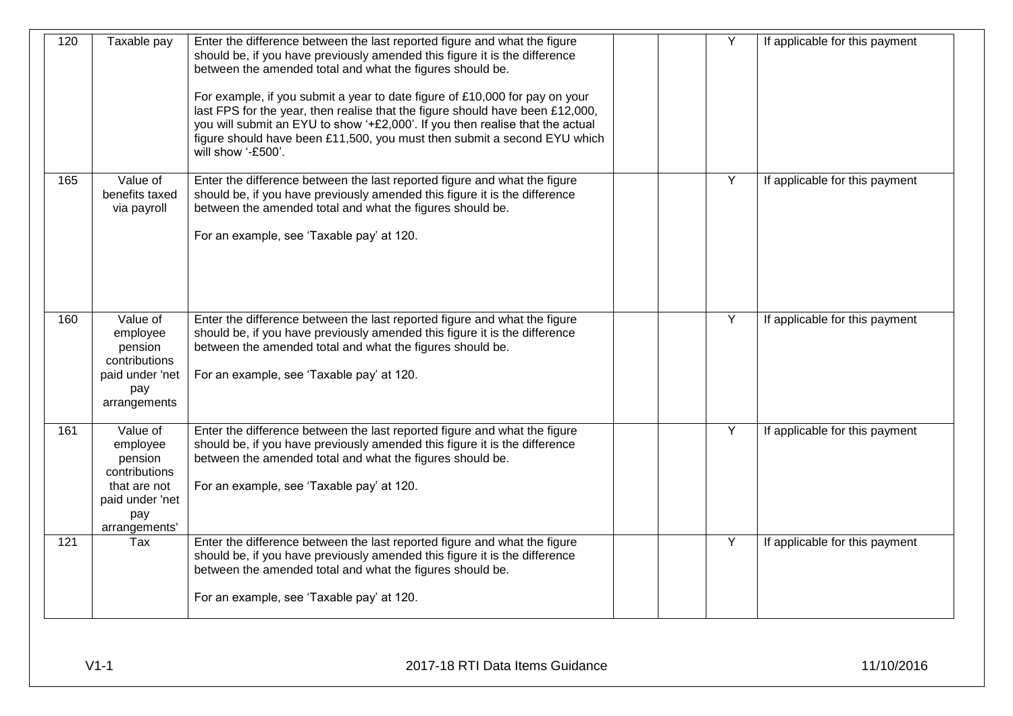| 120 | Taxable pay                                                                                                 | Enter the difference between the last reported figure and what the figure<br>should be, if you have previously amended this figure it is the difference<br>between the amended total and what the figures should be.<br>For example, if you submit a year to date figure of £10,000 for pay on your<br>last FPS for the year, then realise that the figure should have been £12,000,<br>you will submit an EYU to show '+£2,000'. If you then realise that the actual<br>figure should have been £11,500, you must then submit a second EYU which<br>will show '-£500'. |  | Y              | If applicable for this payment |
|-----|-------------------------------------------------------------------------------------------------------------|-------------------------------------------------------------------------------------------------------------------------------------------------------------------------------------------------------------------------------------------------------------------------------------------------------------------------------------------------------------------------------------------------------------------------------------------------------------------------------------------------------------------------------------------------------------------------|--|----------------|--------------------------------|
| 165 | Value of<br>benefits taxed<br>via payroll                                                                   | Enter the difference between the last reported figure and what the figure<br>should be, if you have previously amended this figure it is the difference<br>between the amended total and what the figures should be.<br>For an example, see 'Taxable pay' at 120.                                                                                                                                                                                                                                                                                                       |  | $\overline{Y}$ | If applicable for this payment |
| 160 | Value of<br>employee<br>pension<br>contributions<br>paid under 'net<br>pay<br>arrangements                  | Enter the difference between the last reported figure and what the figure<br>should be, if you have previously amended this figure it is the difference<br>between the amended total and what the figures should be.<br>For an example, see 'Taxable pay' at 120.                                                                                                                                                                                                                                                                                                       |  | Y              | If applicable for this payment |
| 161 | Value of<br>employee<br>pension<br>contributions<br>that are not<br>paid under 'net<br>pay<br>arrangements' | Enter the difference between the last reported figure and what the figure<br>should be, if you have previously amended this figure it is the difference<br>between the amended total and what the figures should be.<br>For an example, see 'Taxable pay' at 120.                                                                                                                                                                                                                                                                                                       |  | $\overline{Y}$ | If applicable for this payment |
| 121 | Tax                                                                                                         | Enter the difference between the last reported figure and what the figure<br>should be, if you have previously amended this figure it is the difference<br>between the amended total and what the figures should be.<br>For an example, see 'Taxable pay' at 120.                                                                                                                                                                                                                                                                                                       |  | Y              | If applicable for this payment |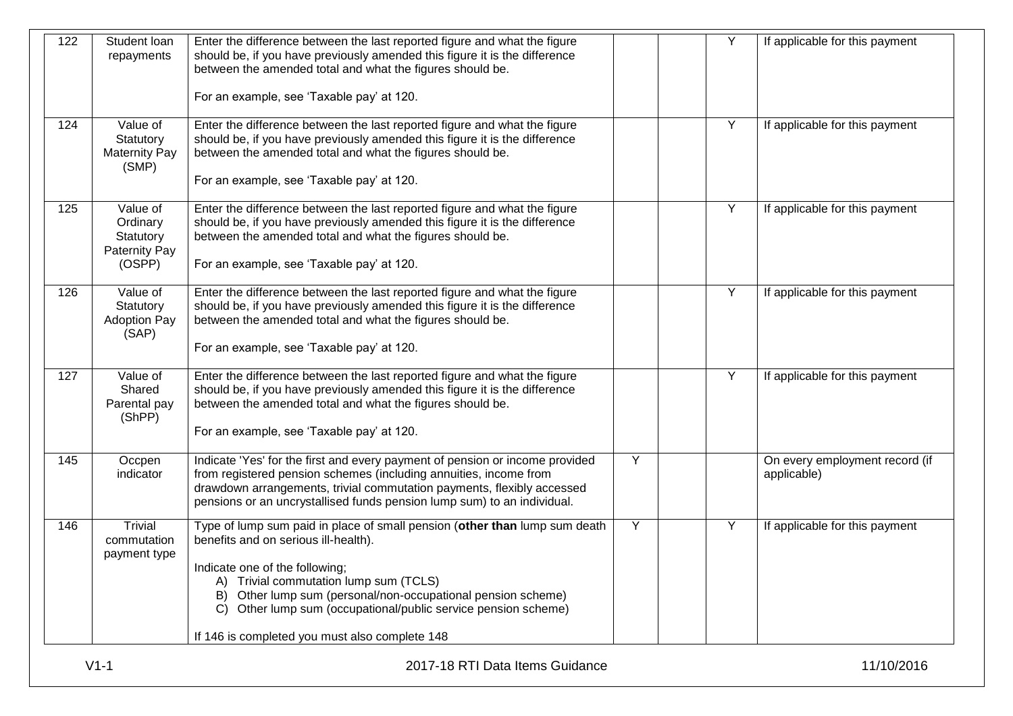| between the amended total and what the figures should be.<br>For an example, see 'Taxable pay' at 120.<br>Enter the difference between the last reported figure and what the figure<br>Y<br>Value of<br>If applicable for this payment<br>Statutory<br>should be, if you have previously amended this figure it is the difference<br>between the amended total and what the figures should be.<br><b>Maternity Pay</b><br>(SMP)<br>For an example, see 'Taxable pay' at 120.<br>Value of<br>Enter the difference between the last reported figure and what the figure<br>Y<br>If applicable for this payment<br>Ordinary<br>should be, if you have previously amended this figure it is the difference<br>between the amended total and what the figures should be.<br>Statutory<br><b>Paternity Pay</b><br>For an example, see 'Taxable pay' at 120.<br>(OSPP)<br>Value of<br>Enter the difference between the last reported figure and what the figure<br>Y<br>If applicable for this payment<br>should be, if you have previously amended this figure it is the difference<br>Statutory<br><b>Adoption Pay</b><br>between the amended total and what the figures should be.<br>(SAP)<br>For an example, see 'Taxable pay' at 120.<br>Y<br>Value of<br>Enter the difference between the last reported figure and what the figure<br>If applicable for this payment<br>Shared<br>should be, if you have previously amended this figure it is the difference<br>between the amended total and what the figures should be.<br>Parental pay<br>(ShPP)<br>For an example, see 'Taxable pay' at 120.<br>Y<br>Occpen<br>Indicate 'Yes' for the first and every payment of pension or income provided<br>indicator<br>from registered pension schemes (including annuities, income from<br>applicable)<br>drawdown arrangements, trivial commutation payments, flexibly accessed<br>pensions or an uncrystallised funds pension lump sum) to an individual.<br>Y<br><b>Trivial</b><br>Type of lump sum paid in place of small pension (other than lump sum death<br>Y<br>If applicable for this payment<br>benefits and on serious ill-health).<br>commutation<br>payment type<br>Indicate one of the following;<br>Trivial commutation lump sum (TCLS)<br>Other lump sum (personal/non-occupational pension scheme)<br>B)<br>Other lump sum (occupational/public service pension scheme)<br>If 146 is completed you must also complete 148 | 122 | Student loan<br>repayments | Enter the difference between the last reported figure and what the figure<br>should be, if you have previously amended this figure it is the difference | Y | If applicable for this payment |
|---------------------------------------------------------------------------------------------------------------------------------------------------------------------------------------------------------------------------------------------------------------------------------------------------------------------------------------------------------------------------------------------------------------------------------------------------------------------------------------------------------------------------------------------------------------------------------------------------------------------------------------------------------------------------------------------------------------------------------------------------------------------------------------------------------------------------------------------------------------------------------------------------------------------------------------------------------------------------------------------------------------------------------------------------------------------------------------------------------------------------------------------------------------------------------------------------------------------------------------------------------------------------------------------------------------------------------------------------------------------------------------------------------------------------------------------------------------------------------------------------------------------------------------------------------------------------------------------------------------------------------------------------------------------------------------------------------------------------------------------------------------------------------------------------------------------------------------------------------------------------------------------------------------------------------------------------------------------------------------------------------------------------------------------------------------------------------------------------------------------------------------------------------------------------------------------------------------------------------------------------------------------------------------------------------------------------------------------------------------------------------------------------------------------------------------|-----|----------------------------|---------------------------------------------------------------------------------------------------------------------------------------------------------|---|--------------------------------|
|                                                                                                                                                                                                                                                                                                                                                                                                                                                                                                                                                                                                                                                                                                                                                                                                                                                                                                                                                                                                                                                                                                                                                                                                                                                                                                                                                                                                                                                                                                                                                                                                                                                                                                                                                                                                                                                                                                                                                                                                                                                                                                                                                                                                                                                                                                                                                                                                                                       |     |                            |                                                                                                                                                         |   |                                |
|                                                                                                                                                                                                                                                                                                                                                                                                                                                                                                                                                                                                                                                                                                                                                                                                                                                                                                                                                                                                                                                                                                                                                                                                                                                                                                                                                                                                                                                                                                                                                                                                                                                                                                                                                                                                                                                                                                                                                                                                                                                                                                                                                                                                                                                                                                                                                                                                                                       | 124 |                            |                                                                                                                                                         |   |                                |
|                                                                                                                                                                                                                                                                                                                                                                                                                                                                                                                                                                                                                                                                                                                                                                                                                                                                                                                                                                                                                                                                                                                                                                                                                                                                                                                                                                                                                                                                                                                                                                                                                                                                                                                                                                                                                                                                                                                                                                                                                                                                                                                                                                                                                                                                                                                                                                                                                                       | 125 |                            |                                                                                                                                                         |   |                                |
|                                                                                                                                                                                                                                                                                                                                                                                                                                                                                                                                                                                                                                                                                                                                                                                                                                                                                                                                                                                                                                                                                                                                                                                                                                                                                                                                                                                                                                                                                                                                                                                                                                                                                                                                                                                                                                                                                                                                                                                                                                                                                                                                                                                                                                                                                                                                                                                                                                       | 126 |                            |                                                                                                                                                         |   |                                |
|                                                                                                                                                                                                                                                                                                                                                                                                                                                                                                                                                                                                                                                                                                                                                                                                                                                                                                                                                                                                                                                                                                                                                                                                                                                                                                                                                                                                                                                                                                                                                                                                                                                                                                                                                                                                                                                                                                                                                                                                                                                                                                                                                                                                                                                                                                                                                                                                                                       | 127 |                            |                                                                                                                                                         |   |                                |
|                                                                                                                                                                                                                                                                                                                                                                                                                                                                                                                                                                                                                                                                                                                                                                                                                                                                                                                                                                                                                                                                                                                                                                                                                                                                                                                                                                                                                                                                                                                                                                                                                                                                                                                                                                                                                                                                                                                                                                                                                                                                                                                                                                                                                                                                                                                                                                                                                                       | 145 |                            |                                                                                                                                                         |   | On every employment record (if |
|                                                                                                                                                                                                                                                                                                                                                                                                                                                                                                                                                                                                                                                                                                                                                                                                                                                                                                                                                                                                                                                                                                                                                                                                                                                                                                                                                                                                                                                                                                                                                                                                                                                                                                                                                                                                                                                                                                                                                                                                                                                                                                                                                                                                                                                                                                                                                                                                                                       | 146 |                            |                                                                                                                                                         |   |                                |
|                                                                                                                                                                                                                                                                                                                                                                                                                                                                                                                                                                                                                                                                                                                                                                                                                                                                                                                                                                                                                                                                                                                                                                                                                                                                                                                                                                                                                                                                                                                                                                                                                                                                                                                                                                                                                                                                                                                                                                                                                                                                                                                                                                                                                                                                                                                                                                                                                                       |     |                            |                                                                                                                                                         |   |                                |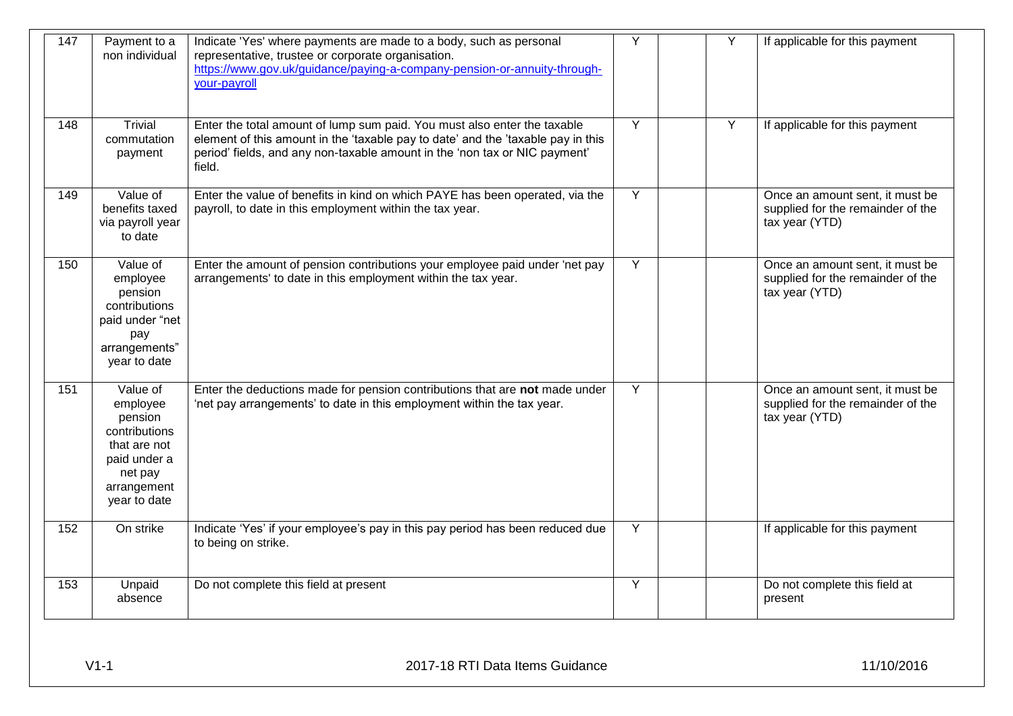| 147 | Payment to a<br>non individual                                                                                             | Indicate 'Yes' where payments are made to a body, such as personal<br>representative, trustee or corporate organisation.<br>https://www.gov.uk/guidance/paying-a-company-pension-or-annuity-through-<br>your-payroll                                 | Y              | Y | If applicable for this payment                                                         |
|-----|----------------------------------------------------------------------------------------------------------------------------|------------------------------------------------------------------------------------------------------------------------------------------------------------------------------------------------------------------------------------------------------|----------------|---|----------------------------------------------------------------------------------------|
| 148 | <b>Trivial</b><br>commutation<br>payment                                                                                   | Enter the total amount of lump sum paid. You must also enter the taxable<br>element of this amount in the 'taxable pay to date' and the 'taxable pay in this<br>period' fields, and any non-taxable amount in the 'non tax or NIC payment'<br>field. | $\overline{Y}$ | Y | If applicable for this payment                                                         |
| 149 | Value of<br>benefits taxed<br>via payroll year<br>to date                                                                  | Enter the value of benefits in kind on which PAYE has been operated, via the<br>payroll, to date in this employment within the tax year.                                                                                                             | Y              |   | Once an amount sent, it must be<br>supplied for the remainder of the<br>tax year (YTD) |
| 150 | Value of<br>employee<br>pension<br>contributions<br>paid under "net<br>pay<br>arrangements"<br>year to date                | Enter the amount of pension contributions your employee paid under 'net pay<br>arrangements' to date in this employment within the tax year.                                                                                                         | Y              |   | Once an amount sent, it must be<br>supplied for the remainder of the<br>tax year (YTD) |
| 151 | Value of<br>employee<br>pension<br>contributions<br>that are not<br>paid under a<br>net pay<br>arrangement<br>year to date | Enter the deductions made for pension contributions that are not made under<br>'net pay arrangements' to date in this employment within the tax year.                                                                                                | Y              |   | Once an amount sent, it must be<br>supplied for the remainder of the<br>tax year (YTD) |
| 152 | On strike                                                                                                                  | Indicate 'Yes' if your employee's pay in this pay period has been reduced due<br>to being on strike.                                                                                                                                                 | Y              |   | If applicable for this payment                                                         |
| 153 | Unpaid<br>absence                                                                                                          | Do not complete this field at present                                                                                                                                                                                                                | Y              |   | Do not complete this field at<br>present                                               |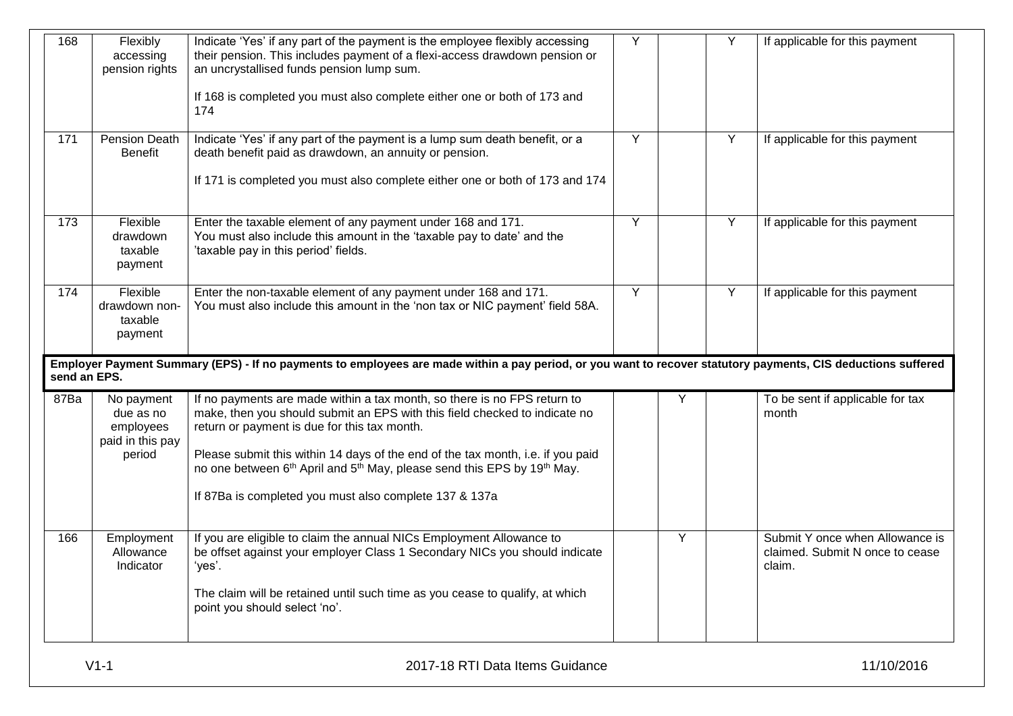|              | Flexibly<br>accessing<br>pension rights                  | Indicate 'Yes' if any part of the payment is the employee flexibly accessing<br>their pension. This includes payment of a flexi-access drawdown pension or<br>an uncrystallised funds pension lump sum. | Y | Y | If applicable for this payment            |
|--------------|----------------------------------------------------------|---------------------------------------------------------------------------------------------------------------------------------------------------------------------------------------------------------|---|---|-------------------------------------------|
|              |                                                          | If 168 is completed you must also complete either one or both of 173 and<br>174                                                                                                                         |   |   |                                           |
| 171          | Pension Death<br><b>Benefit</b>                          | Indicate 'Yes' if any part of the payment is a lump sum death benefit, or a<br>death benefit paid as drawdown, an annuity or pension.                                                                   | Y | Y | If applicable for this payment            |
|              |                                                          | If 171 is completed you must also complete either one or both of 173 and 174                                                                                                                            |   |   |                                           |
| 173          | Flexible<br>drawdown<br>taxable<br>payment               | Enter the taxable element of any payment under 168 and 171.<br>You must also include this amount in the 'taxable pay to date' and the<br>'taxable pay in this period' fields.                           | Y | Y | If applicable for this payment            |
| 174          | Flexible<br>drawdown non-<br>taxable<br>payment          | Enter the non-taxable element of any payment under 168 and 171.<br>You must also include this amount in the 'non tax or NIC payment' field 58A.                                                         | Υ | Y | If applicable for this payment            |
|              |                                                          |                                                                                                                                                                                                         |   |   |                                           |
|              |                                                          | Employer Payment Summary (EPS) - If no payments to employees are made within a pay period, or you want to recover statutory payments, CIS deductions suffered                                           |   |   |                                           |
| 87Ba         | No payment<br>due as no<br>employees<br>paid in this pay | If no payments are made within a tax month, so there is no FPS return to<br>make, then you should submit an EPS with this field checked to indicate no<br>return or payment is due for this tax month.  |   | Y | To be sent if applicable for tax<br>month |
| send an EPS. | period                                                   | Please submit this within 14 days of the end of the tax month, i.e. if you paid<br>no one between 6 <sup>th</sup> April and 5 <sup>th</sup> May, please send this EPS by 19 <sup>th</sup> May.          |   |   |                                           |
|              |                                                          | If 87Ba is completed you must also complete 137 & 137a                                                                                                                                                  |   |   |                                           |
| 166          | Employment<br>Allowance<br>Indicator                     | If you are eligible to claim the annual NICs Employment Allowance to<br>be offset against your employer Class 1 Secondary NICs you should indicate<br>'yes'.                                            |   | Y | claimed. Submit N once to cease<br>claim. |
|              |                                                          | The claim will be retained until such time as you cease to qualify, at which<br>point you should select 'no'.                                                                                           |   |   | Submit Y once when Allowance is           |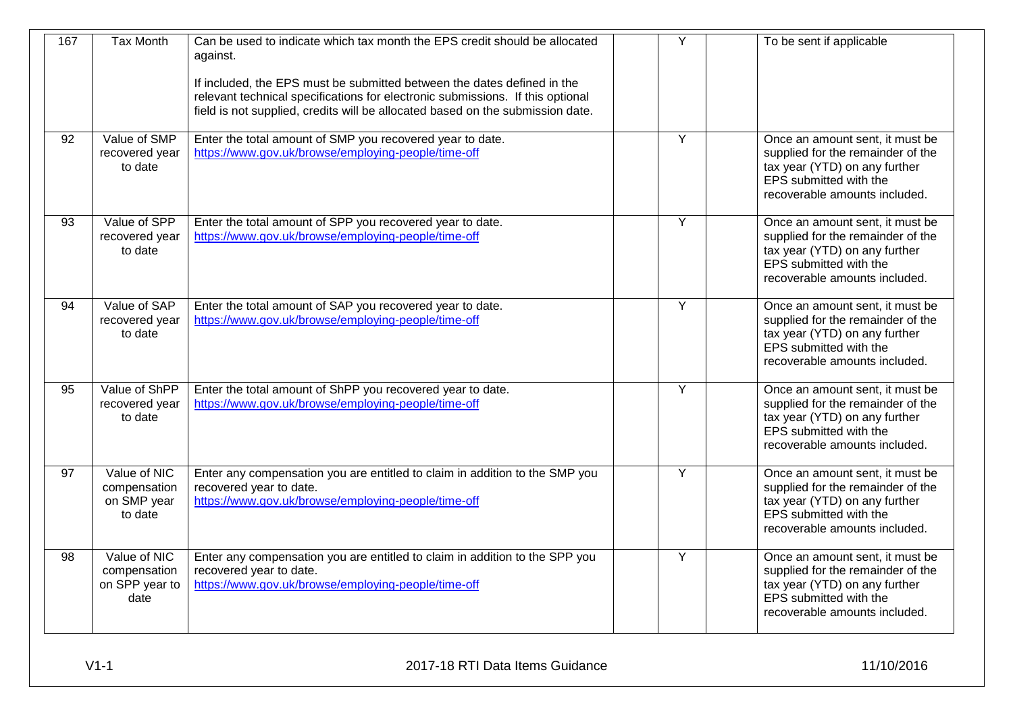| 167             | <b>Tax Month</b>                                       | Can be used to indicate which tax month the EPS credit should be allocated<br>against.<br>If included, the EPS must be submitted between the dates defined in the<br>relevant technical specifications for electronic submissions. If this optional<br>field is not supplied, credits will be allocated based on the submission date. | Y | To be sent if applicable                                                                                                                                         |
|-----------------|--------------------------------------------------------|---------------------------------------------------------------------------------------------------------------------------------------------------------------------------------------------------------------------------------------------------------------------------------------------------------------------------------------|---|------------------------------------------------------------------------------------------------------------------------------------------------------------------|
| 92              | Value of SMP<br>recovered year<br>to date              | Enter the total amount of SMP you recovered year to date.<br>https://www.gov.uk/browse/employing-people/time-off                                                                                                                                                                                                                      | Y | Once an amount sent, it must be<br>supplied for the remainder of the<br>tax year (YTD) on any further<br>EPS submitted with the<br>recoverable amounts included. |
| 93              | Value of SPP<br>recovered year<br>to date              | Enter the total amount of SPP you recovered year to date.<br>https://www.gov.uk/browse/employing-people/time-off                                                                                                                                                                                                                      | Y | Once an amount sent, it must be<br>supplied for the remainder of the<br>tax year (YTD) on any further<br>EPS submitted with the<br>recoverable amounts included. |
| 94              | Value of SAP<br>recovered year<br>to date              | Enter the total amount of SAP you recovered year to date.<br>https://www.gov.uk/browse/employing-people/time-off                                                                                                                                                                                                                      | Y | Once an amount sent, it must be<br>supplied for the remainder of the<br>tax year (YTD) on any further<br>EPS submitted with the<br>recoverable amounts included. |
| 95              | Value of ShPP<br>recovered year<br>to date             | Enter the total amount of ShPP you recovered year to date.<br>https://www.gov.uk/browse/employing-people/time-off                                                                                                                                                                                                                     | Y | Once an amount sent, it must be<br>supplied for the remainder of the<br>tax year (YTD) on any further<br>EPS submitted with the<br>recoverable amounts included. |
| $\overline{97}$ | Value of NIC<br>compensation<br>on SMP year<br>to date | Enter any compensation you are entitled to claim in addition to the SMP you<br>recovered year to date.<br>https://www.gov.uk/browse/employing-people/time-off                                                                                                                                                                         | Y | Once an amount sent, it must be<br>supplied for the remainder of the<br>tax year (YTD) on any further<br>EPS submitted with the<br>recoverable amounts included. |
| 98              | Value of NIC<br>compensation<br>on SPP year to<br>date | Enter any compensation you are entitled to claim in addition to the SPP you<br>recovered year to date.<br>https://www.gov.uk/browse/employing-people/time-off                                                                                                                                                                         | Y | Once an amount sent, it must be<br>supplied for the remainder of the<br>tax year (YTD) on any further<br>EPS submitted with the<br>recoverable amounts included. |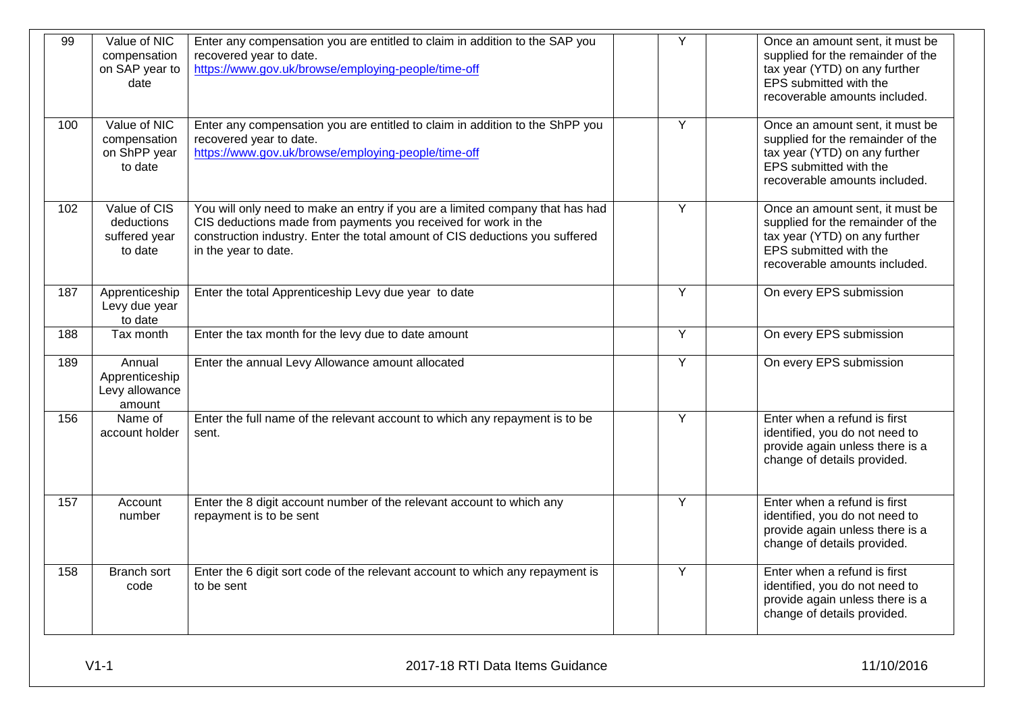| 99  | Value of NIC<br>compensation<br>on SAP year to<br>date  | Enter any compensation you are entitled to claim in addition to the SAP you<br>recovered year to date.<br>https://www.gov.uk/browse/employing-people/time-off                                                                                           | Ÿ              | Once an amount sent, it must be<br>supplied for the remainder of the<br>tax year (YTD) on any further<br>EPS submitted with the<br>recoverable amounts included. |
|-----|---------------------------------------------------------|---------------------------------------------------------------------------------------------------------------------------------------------------------------------------------------------------------------------------------------------------------|----------------|------------------------------------------------------------------------------------------------------------------------------------------------------------------|
| 100 | Value of NIC<br>compensation<br>on ShPP year<br>to date | Enter any compensation you are entitled to claim in addition to the ShPP you<br>recovered year to date.<br>https://www.gov.uk/browse/employing-people/time-off                                                                                          | $\overline{Y}$ | Once an amount sent, it must be<br>supplied for the remainder of the<br>tax year (YTD) on any further<br>EPS submitted with the<br>recoverable amounts included. |
| 102 | Value of CIS<br>deductions<br>suffered year<br>to date  | You will only need to make an entry if you are a limited company that has had<br>CIS deductions made from payments you received for work in the<br>construction industry. Enter the total amount of CIS deductions you suffered<br>in the year to date. | Y              | Once an amount sent, it must be<br>supplied for the remainder of the<br>tax year (YTD) on any further<br>EPS submitted with the<br>recoverable amounts included. |
| 187 | Apprenticeship<br>Levy due year<br>to date              | Enter the total Apprenticeship Levy due year to date                                                                                                                                                                                                    | Y              | On every EPS submission                                                                                                                                          |
| 188 | Tax month                                               | Enter the tax month for the levy due to date amount                                                                                                                                                                                                     | $\overline{Y}$ | On every EPS submission                                                                                                                                          |
| 189 | Annual<br>Apprenticeship<br>Levy allowance<br>amount    | Enter the annual Levy Allowance amount allocated                                                                                                                                                                                                        | Y              | On every EPS submission                                                                                                                                          |
| 156 | Name of<br>account holder                               | Enter the full name of the relevant account to which any repayment is to be<br>sent.                                                                                                                                                                    | $\overline{Y}$ | Enter when a refund is first<br>identified, you do not need to<br>provide again unless there is a<br>change of details provided.                                 |
| 157 | Account<br>number                                       | Enter the 8 digit account number of the relevant account to which any<br>repayment is to be sent                                                                                                                                                        | Y              | Enter when a refund is first<br>identified, you do not need to<br>provide again unless there is a<br>change of details provided.                                 |
| 158 | Branch sort<br>code                                     | Enter the 6 digit sort code of the relevant account to which any repayment is<br>to be sent                                                                                                                                                             | Y              | Enter when a refund is first<br>identified, you do not need to<br>provide again unless there is a<br>change of details provided.                                 |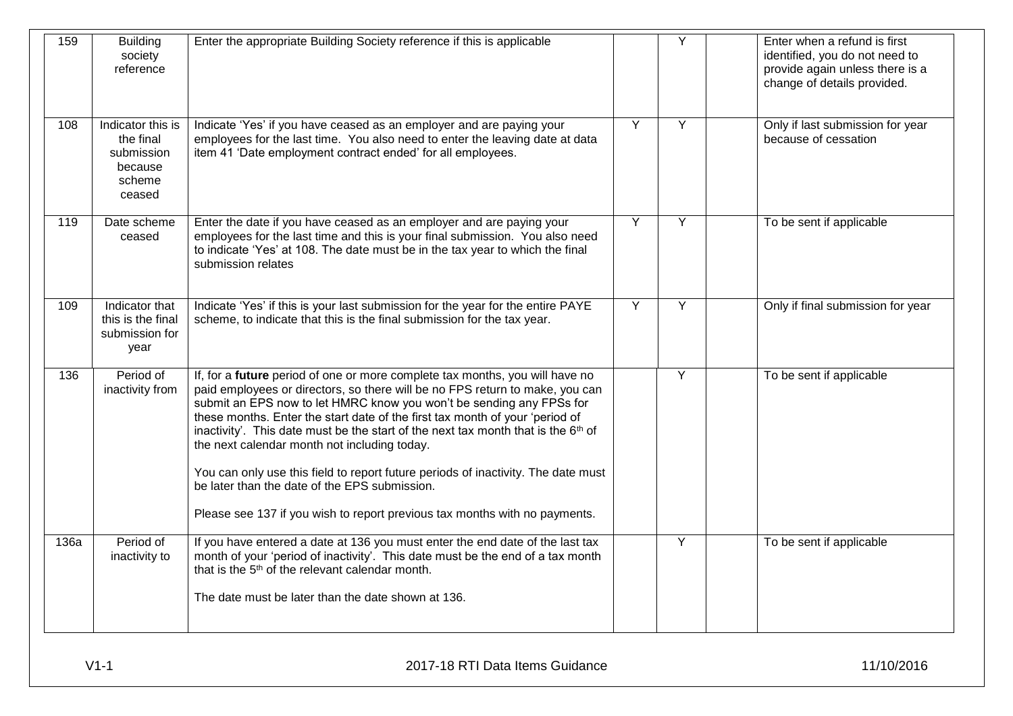| 159  | <b>Building</b><br>society<br>reference                                     | Enter the appropriate Building Society reference if this is applicable                                                                                                                                                                                                                                                                                                                                                                                                                                                                                                                                      |   | Υ | Enter when a refund is first<br>identified, you do not need to<br>provide again unless there is a<br>change of details provided. |
|------|-----------------------------------------------------------------------------|-------------------------------------------------------------------------------------------------------------------------------------------------------------------------------------------------------------------------------------------------------------------------------------------------------------------------------------------------------------------------------------------------------------------------------------------------------------------------------------------------------------------------------------------------------------------------------------------------------------|---|---|----------------------------------------------------------------------------------------------------------------------------------|
| 108  | Indicator this is<br>the final<br>submission<br>because<br>scheme<br>ceased | Indicate 'Yes' if you have ceased as an employer and are paying your<br>employees for the last time. You also need to enter the leaving date at data<br>item 41 'Date employment contract ended' for all employees.                                                                                                                                                                                                                                                                                                                                                                                         | Y | Y | Only if last submission for year<br>because of cessation                                                                         |
| 119  | Date scheme<br>ceased                                                       | Enter the date if you have ceased as an employer and are paying your<br>employees for the last time and this is your final submission. You also need<br>to indicate 'Yes' at 108. The date must be in the tax year to which the final<br>submission relates                                                                                                                                                                                                                                                                                                                                                 | Y | Y | To be sent if applicable                                                                                                         |
| 109  | Indicator that<br>this is the final<br>submission for<br>year               | Indicate 'Yes' if this is your last submission for the year for the entire PAYE<br>scheme, to indicate that this is the final submission for the tax year.                                                                                                                                                                                                                                                                                                                                                                                                                                                  | Y | Y | Only if final submission for year                                                                                                |
| 136  | Period of<br>inactivity from                                                | If, for a future period of one or more complete tax months, you will have no<br>paid employees or directors, so there will be no FPS return to make, you can<br>submit an EPS now to let HMRC know you won't be sending any FPSs for<br>these months. Enter the start date of the first tax month of your 'period of<br>inactivity'. This date must be the start of the next tax month that is the 6 <sup>th</sup> of<br>the next calendar month not including today.<br>You can only use this field to report future periods of inactivity. The date must<br>be later than the date of the EPS submission. |   | Y | To be sent if applicable                                                                                                         |
|      |                                                                             | Please see 137 if you wish to report previous tax months with no payments.                                                                                                                                                                                                                                                                                                                                                                                                                                                                                                                                  |   |   |                                                                                                                                  |
| 136a | Period of<br>inactivity to                                                  | If you have entered a date at 136 you must enter the end date of the last tax<br>month of your 'period of inactivity'. This date must be the end of a tax month<br>that is the 5 <sup>th</sup> of the relevant calendar month.                                                                                                                                                                                                                                                                                                                                                                              |   | Y | To be sent if applicable                                                                                                         |
|      |                                                                             | The date must be later than the date shown at 136.                                                                                                                                                                                                                                                                                                                                                                                                                                                                                                                                                          |   |   |                                                                                                                                  |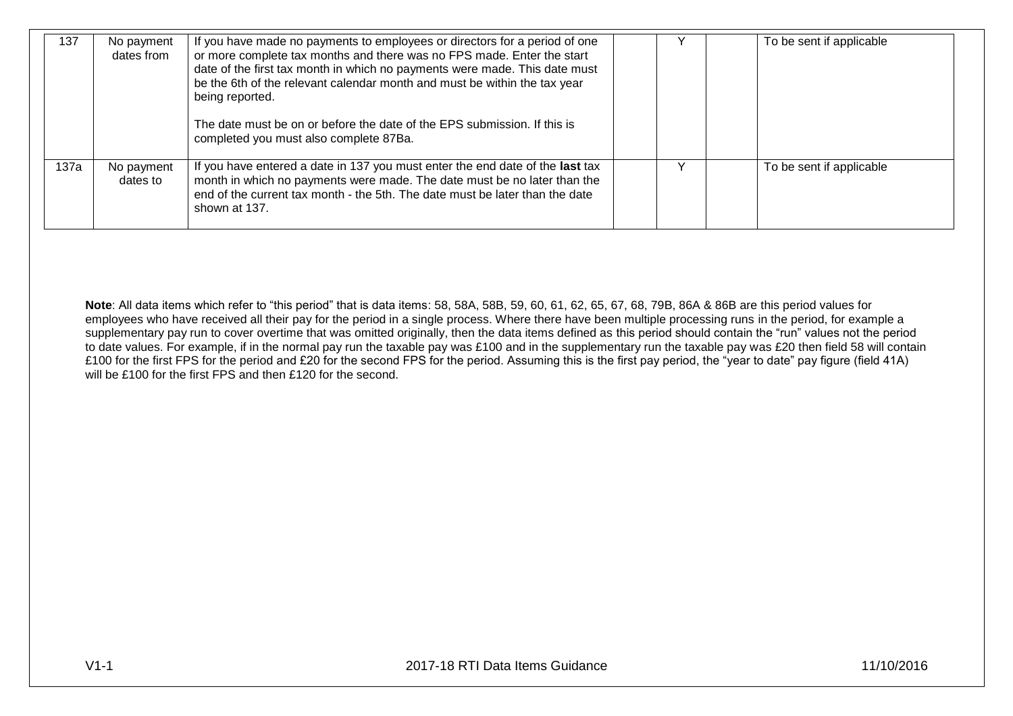| 137  | No payment<br>dates from | If you have made no payments to employees or directors for a period of one<br>or more complete tax months and there was no FPS made. Enter the start<br>date of the first tax month in which no payments were made. This date must<br>be the 6th of the relevant calendar month and must be within the tax year<br>being reported.<br>The date must be on or before the date of the EPS submission. If this is<br>completed you must also complete 87Ba. |   | To be sent if applicable |
|------|--------------------------|----------------------------------------------------------------------------------------------------------------------------------------------------------------------------------------------------------------------------------------------------------------------------------------------------------------------------------------------------------------------------------------------------------------------------------------------------------|---|--------------------------|
| 137a | No payment<br>dates to   | If you have entered a date in 137 you must enter the end date of the last tax<br>month in which no payments were made. The date must be no later than the<br>end of the current tax month - the 5th. The date must be later than the date<br>shown at 137.                                                                                                                                                                                               | v | To be sent if applicable |

**Note**: All data items which refer to "this period" that is data items: 58, 58A, 58B, 59, 60, 61, 62, 65, 67, 68, 79B, 86A & 86B are this period values for employees who have received all their pay for the period in a single process. Where there have been multiple processing runs in the period, for example a supplementary pay run to cover overtime that was omitted originally, then the data items defined as this period should contain the "run" values not the period to date values. For example, if in the normal pay run the taxable pay was £100 and in the supplementary run the taxable pay was £20 then field 58 will contain £100 for the first FPS for the period and £20 for the second FPS for the period. Assuming this is the first pay period, the "year to date" pay figure (field 41A) will be £100 for the first FPS and then £120 for the second.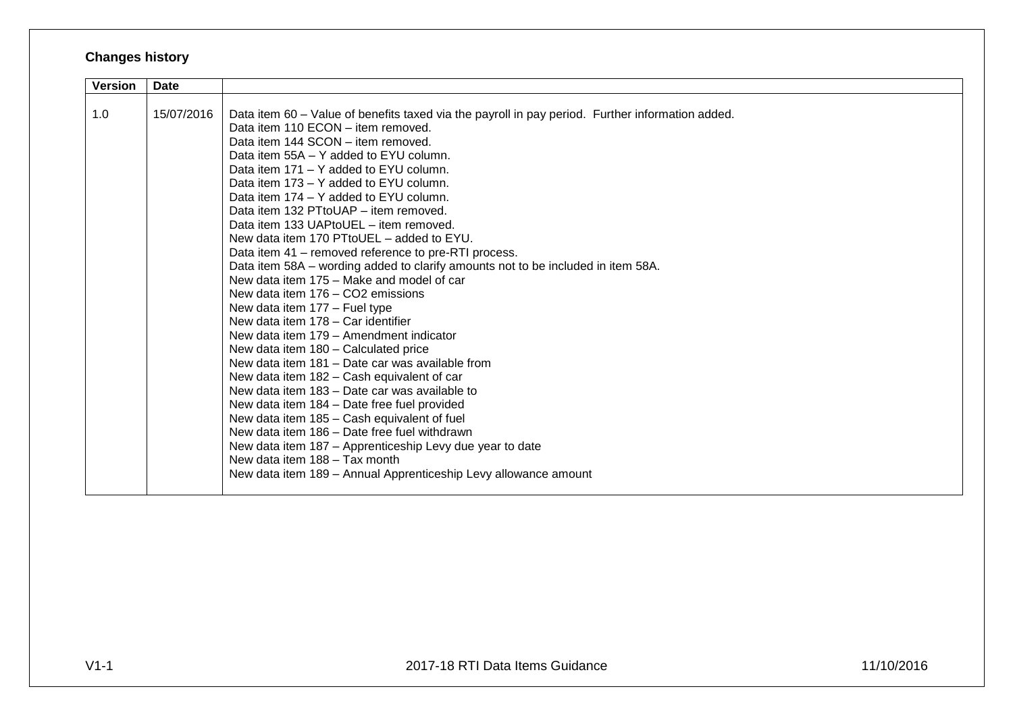## **Changes history**

| <b>Version</b> | <b>Date</b> |                                                                                                  |
|----------------|-------------|--------------------------------------------------------------------------------------------------|
|                |             |                                                                                                  |
| 1.0            | 15/07/2016  | Data item 60 - Value of benefits taxed via the payroll in pay period. Further information added. |
|                |             | Data item 110 ECON - item removed.                                                               |
|                |             | Data item 144 SCON - item removed.                                                               |
|                |             | Data item 55A – Y added to EYU column.                                                           |
|                |             | Data item 171 - Y added to EYU column.                                                           |
|                |             | Data item 173 – Y added to EYU column.                                                           |
|                |             | Data item 174 - Y added to EYU column.                                                           |
|                |             | Data item 132 PTtoUAP - item removed.                                                            |
|                |             | Data item 133 UAPtoUEL - item removed.                                                           |
|                |             | New data item 170 PTtoUEL - added to EYU.                                                        |
|                |             | Data item 41 - removed reference to pre-RTI process.                                             |
|                |             | Data item 58A - wording added to clarify amounts not to be included in item 58A.                 |
|                |             | New data item 175 – Make and model of car                                                        |
|                |             | New data item 176 - CO2 emissions                                                                |
|                |             | New data item 177 - Fuel type                                                                    |
|                |             | New data item 178 - Car identifier                                                               |
|                |             | New data item 179 - Amendment indicator                                                          |
|                |             | New data item 180 - Calculated price                                                             |
|                |             | New data item 181 - Date car was available from                                                  |
|                |             | New data item 182 - Cash equivalent of car                                                       |
|                |             | New data item 183 – Date car was available to                                                    |
|                |             | New data item 184 - Date free fuel provided                                                      |
|                |             | New data item 185 - Cash equivalent of fuel                                                      |
|                |             | New data item 186 - Date free fuel withdrawn                                                     |
|                |             | New data item 187 – Apprenticeship Levy due year to date                                         |
|                |             | New data item 188 - Tax month                                                                    |
|                |             | New data item 189 - Annual Apprenticeship Levy allowance amount                                  |
|                |             |                                                                                                  |